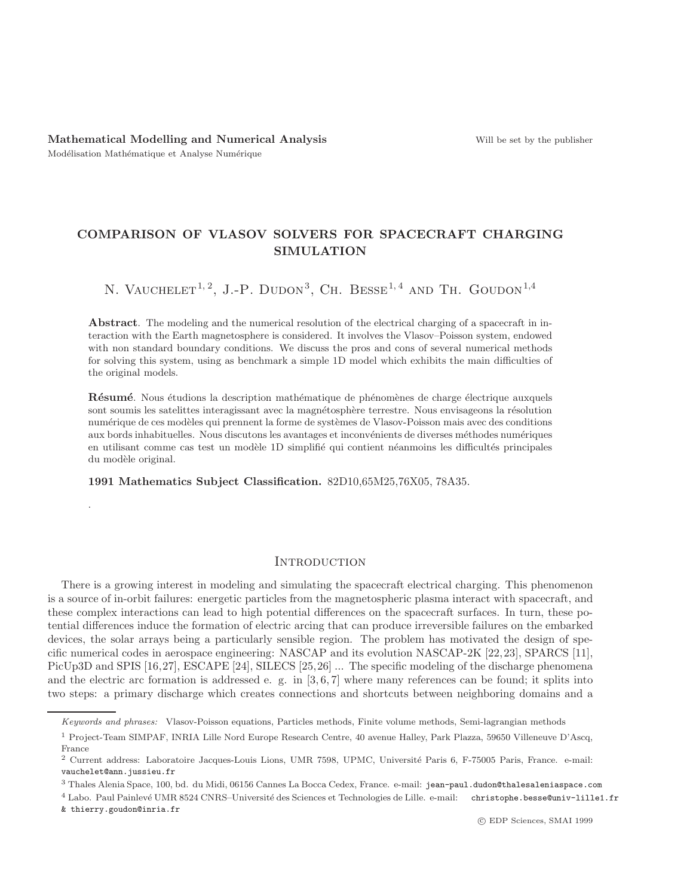.

# COMPARISON OF VLASOV SOLVERS FOR SPACECRAFT CHARGING SIMULATION

N. VAUCHELET<sup>1, 2</sup>, J.-P. DUDON<sup>3</sup>, CH. BESSE<sup>1, 4</sup> AND TH. GOUDON<sup>1,4</sup>

Abstract. The modeling and the numerical resolution of the electrical charging of a spacecraft in interaction with the Earth magnetosphere is considered. It involves the Vlasov–Poisson system, endowed with non standard boundary conditions. We discuss the pros and cons of several numerical methods for solving this system, using as benchmark a simple 1D model which exhibits the main difficulties of the original models.

Résumé. Nous étudions la description mathématique de phénomènes de charge électrique auxquels sont soumis les satelittes interagissant avec la magnétosphère terrestre. Nous envisageons la résolution numérique de ces modèles qui prennent la forme de systèmes de Vlasov-Poisson mais avec des conditions aux bords inhabituelles. Nous discutons les avantages et inconvénients de diverses méthodes numériques en utilisant comme cas test un modèle 1D simplifié qui contient néanmoins les difficultés principales du modèle original.

1991 Mathematics Subject Classification. 82D10,65M25,76X05, 78A35.

# **INTRODUCTION**

There is a growing interest in modeling and simulating the spacecraft electrical charging. This phenomenon is a source of in-orbit failures: energetic particles from the magnetospheric plasma interact with spacecraft, and these complex interactions can lead to high potential differences on the spacecraft surfaces. In turn, these potential differences induce the formation of electric arcing that can produce irreversible failures on the embarked devices, the solar arrays being a particularly sensible region. The problem has motivated the design of specific numerical codes in aerospace engineering: NASCAP and its evolution NASCAP-2K [22, 23], SPARCS [11], PicUp3D and SPIS [16,27], ESCAPE [24], SILECS [25,26] ... The specific modeling of the discharge phenomena and the electric arc formation is addressed e. g. in  $[3, 6, 7]$  where many references can be found; it splits into two steps: a primary discharge which creates connections and shortcuts between neighboring domains and a

Keywords and phrases: Vlasov-Poisson equations, Particles methods, Finite volume methods, Semi-lagrangian methods

<sup>1</sup> Project-Team SIMPAF, INRIA Lille Nord Europe Research Centre, 40 avenue Halley, Park Plazza, 59650 Villeneuve D'Ascq, France

<sup>&</sup>lt;sup>2</sup> Current address: Laboratoire Jacques-Louis Lions, UMR 7598, UPMC, Université Paris 6, F-75005 Paris, France. e-mail: vauchelet@ann.jussieu.fr

<sup>3</sup> Thales Alenia Space, 100, bd. du Midi, 06156 Cannes La Bocca Cedex, France. e-mail: jean-paul.dudon@thalesaleniaspace.com

<sup>4</sup> Labo. Paul Painlevé UMR 8524 CNRS-Université des Sciences et Technologies de Lille. e-mail: christophe.besse@univ-lille1.fr & thierry.goudon@inria.fr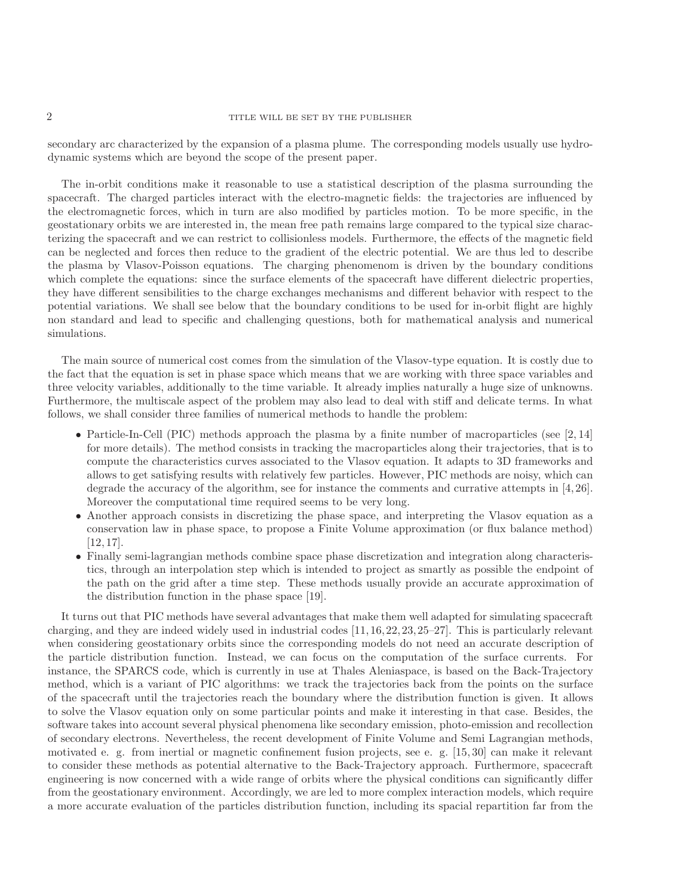secondary arc characterized by the expansion of a plasma plume. The corresponding models usually use hydrodynamic systems which are beyond the scope of the present paper.

The in-orbit conditions make it reasonable to use a statistical description of the plasma surrounding the spacecraft. The charged particles interact with the electro-magnetic fields: the trajectories are influenced by the electromagnetic forces, which in turn are also modified by particles motion. To be more specific, in the geostationary orbits we are interested in, the mean free path remains large compared to the typical size characterizing the spacecraft and we can restrict to collisionless models. Furthermore, the effects of the magnetic field can be neglected and forces then reduce to the gradient of the electric potential. We are thus led to describe the plasma by Vlasov-Poisson equations. The charging phenomenom is driven by the boundary conditions which complete the equations: since the surface elements of the spacecraft have different dielectric properties, they have different sensibilities to the charge exchanges mechanisms and different behavior with respect to the potential variations. We shall see below that the boundary conditions to be used for in-orbit flight are highly non standard and lead to specific and challenging questions, both for mathematical analysis and numerical simulations.

The main source of numerical cost comes from the simulation of the Vlasov-type equation. It is costly due to the fact that the equation is set in phase space which means that we are working with three space variables and three velocity variables, additionally to the time variable. It already implies naturally a huge size of unknowns. Furthermore, the multiscale aspect of the problem may also lead to deal with stiff and delicate terms. In what follows, we shall consider three families of numerical methods to handle the problem:

- Particle-In-Cell (PIC) methods approach the plasma by a finite number of macroparticles (see  $[2, 14]$ ) for more details). The method consists in tracking the macroparticles along their trajectories, that is to compute the characteristics curves associated to the Vlasov equation. It adapts to 3D frameworks and allows to get satisfying results with relatively few particles. However, PIC methods are noisy, which can degrade the accuracy of the algorithm, see for instance the comments and currative attempts in [4, 26]. Moreover the computational time required seems to be very long.
- Another approach consists in discretizing the phase space, and interpreting the Vlasov equation as a conservation law in phase space, to propose a Finite Volume approximation (or flux balance method) [12, 17].
- Finally semi-lagrangian methods combine space phase discretization and integration along characteristics, through an interpolation step which is intended to project as smartly as possible the endpoint of the path on the grid after a time step. These methods usually provide an accurate approximation of the distribution function in the phase space [19].

It turns out that PIC methods have several advantages that make them well adapted for simulating spacecraft charging, and they are indeed widely used in industrial codes [11, 16, 22, 23, 25–27]. This is particularly relevant when considering geostationary orbits since the corresponding models do not need an accurate description of the particle distribution function. Instead, we can focus on the computation of the surface currents. For instance, the SPARCS code, which is currently in use at Thales Aleniaspace, is based on the Back-Trajectory method, which is a variant of PIC algorithms: we track the trajectories back from the points on the surface of the spacecraft until the trajectories reach the boundary where the distribution function is given. It allows to solve the Vlasov equation only on some particular points and make it interesting in that case. Besides, the software takes into account several physical phenomena like secondary emission, photo-emission and recollection of secondary electrons. Nevertheless, the recent development of Finite Volume and Semi Lagrangian methods, motivated e. g. from inertial or magnetic confinement fusion projects, see e. g. [15, 30] can make it relevant to consider these methods as potential alternative to the Back-Trajectory approach. Furthermore, spacecraft engineering is now concerned with a wide range of orbits where the physical conditions can significantly differ from the geostationary environment. Accordingly, we are led to more complex interaction models, which require a more accurate evaluation of the particles distribution function, including its spacial repartition far from the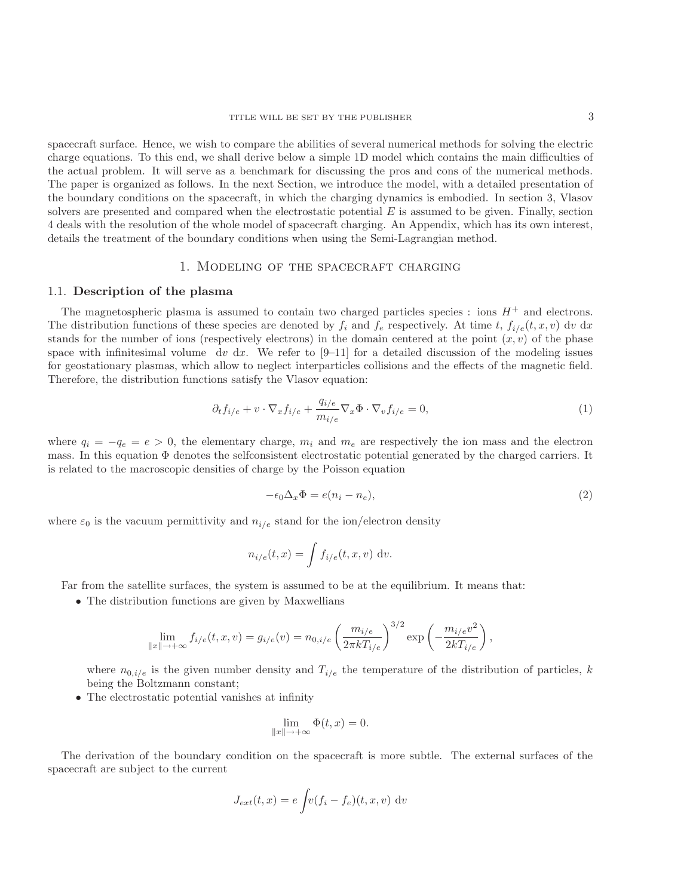spacecraft surface. Hence, we wish to compare the abilities of several numerical methods for solving the electric charge equations. To this end, we shall derive below a simple 1D model which contains the main difficulties of the actual problem. It will serve as a benchmark for discussing the pros and cons of the numerical methods. The paper is organized as follows. In the next Section, we introduce the model, with a detailed presentation of the boundary conditions on the spacecraft, in which the charging dynamics is embodied. In section 3, Vlasov solvers are presented and compared when the electrostatic potential  $E$  is assumed to be given. Finally, section 4 deals with the resolution of the whole model of spacecraft charging. An Appendix, which has its own interest, details the treatment of the boundary conditions when using the Semi-Lagrangian method.

# 1. Modeling of the spacecraft charging

### 1.1. Description of the plasma

The magnetospheric plasma is assumed to contain two charged particles species : ions  $H^+$  and electrons. The distribution functions of these species are denoted by  $f_i$  and  $f_e$  respectively. At time t,  $f_{i/e}(t, x, v)$  dv dx stands for the number of ions (respectively electrons) in the domain centered at the point  $(x, v)$  of the phase space with infinitesimal volume  $dv dx$ . We refer to  $[9-11]$  for a detailed discussion of the modeling issues for geostationary plasmas, which allow to neglect interparticles collisions and the effects of the magnetic field. Therefore, the distribution functions satisfy the Vlasov equation:

$$
\partial_t f_{i/e} + v \cdot \nabla_x f_{i/e} + \frac{q_{i/e}}{m_{i/e}} \nabla_x \Phi \cdot \nabla_v f_{i/e} = 0,
$$
\n(1)

where  $q_i = -q_e = e > 0$ , the elementary charge,  $m_i$  and  $m_e$  are respectively the ion mass and the electron mass. In this equation Φ denotes the selfconsistent electrostatic potential generated by the charged carriers. It is related to the macroscopic densities of charge by the Poisson equation

$$
-\epsilon_0 \Delta_x \Phi = e(n_i - n_e),\tag{2}
$$

where  $\varepsilon_0$  is the vacuum permittivity and  $n_{i/e}$  stand for the ion/electron density

$$
n_{i/e}(t,x) = \int f_{i/e}(t,x,v) dv.
$$

Far from the satellite surfaces, the system is assumed to be at the equilibrium. It means that:

• The distribution functions are given by Maxwellians

$$
\lim_{\|x\| \to +\infty} f_{i/e}(t, x, v) = g_{i/e}(v) = n_{0, i/e} \left(\frac{m_{i/e}}{2\pi k T_{i/e}}\right)^{3/2} \exp\left(-\frac{m_{i/e}v^2}{2k T_{i/e}}\right),
$$

where  $n_{0,i/e}$  is the given number density and  $T_{i/e}$  the temperature of the distribution of particles, k being the Boltzmann constant;

• The electrostatic potential vanishes at infinity

$$
\lim_{\|x\| \to +\infty} \Phi(t, x) = 0.
$$

The derivation of the boundary condition on the spacecraft is more subtle. The external surfaces of the spacecraft are subject to the current

$$
J_{ext}(t,x) = e \int v(f_i - f_e)(t, x, v) dv
$$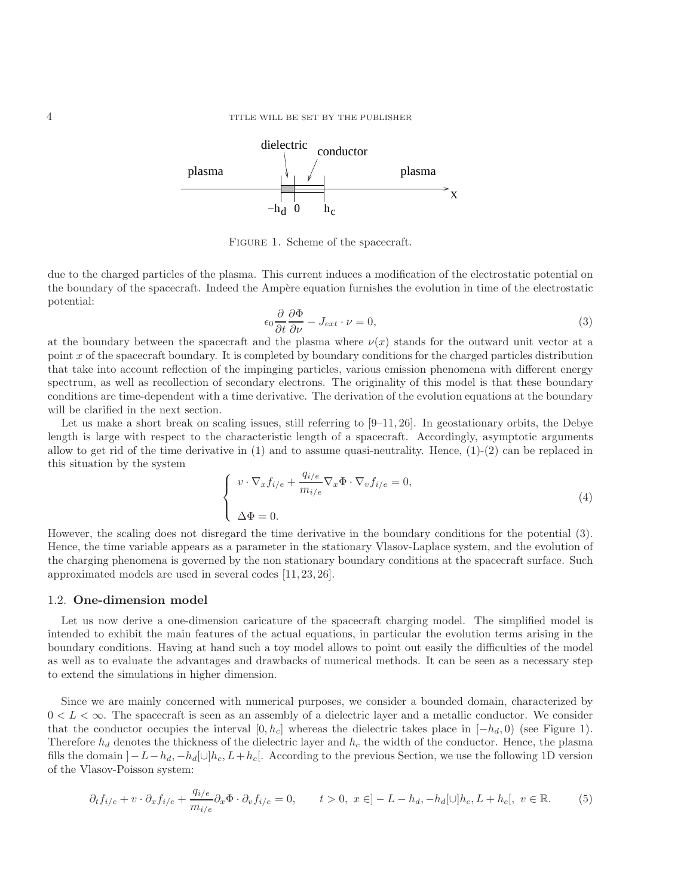

FIGURE 1. Scheme of the spacecraft.

due to the charged particles of the plasma. This current induces a modification of the electrostatic potential on the boundary of the spacecraft. Indeed the Ampère equation furnishes the evolution in time of the electrostatic potential:

$$
\epsilon_0 \frac{\partial}{\partial t} \frac{\partial \Phi}{\partial \nu} - J_{ext} \cdot \nu = 0,\tag{3}
$$

at the boundary between the spacecraft and the plasma where  $\nu(x)$  stands for the outward unit vector at a point x of the spacecraft boundary. It is completed by boundary conditions for the charged particles distribution that take into account reflection of the impinging particles, various emission phenomena with different energy spectrum, as well as recollection of secondary electrons. The originality of this model is that these boundary conditions are time-dependent with a time derivative. The derivation of the evolution equations at the boundary will be clarified in the next section.

Let us make a short break on scaling issues, still referring to [9–11, 26]. In geostationary orbits, the Debye length is large with respect to the characteristic length of a spacecraft. Accordingly, asymptotic arguments allow to get rid of the time derivative in  $(1)$  and to assume quasi-neutrality. Hence,  $(1)-(2)$  can be replaced in this situation by the system

$$
\begin{cases}\nv \cdot \nabla_x f_{i/e} + \frac{q_{i/e}}{m_{i/e}} \nabla_x \Phi \cdot \nabla_v f_{i/e} = 0, \\
\Delta \Phi = 0.\n\end{cases}
$$
\n(4)

However, the scaling does not disregard the time derivative in the boundary conditions for the potential (3). Hence, the time variable appears as a parameter in the stationary Vlasov-Laplace system, and the evolution of the charging phenomena is governed by the non stationary boundary conditions at the spacecraft surface. Such approximated models are used in several codes [11, 23, 26].

### 1.2. One-dimension model

Let us now derive a one-dimension caricature of the spacecraft charging model. The simplified model is intended to exhibit the main features of the actual equations, in particular the evolution terms arising in the boundary conditions. Having at hand such a toy model allows to point out easily the difficulties of the model as well as to evaluate the advantages and drawbacks of numerical methods. It can be seen as a necessary step to extend the simulations in higher dimension.

Since we are mainly concerned with numerical purposes, we consider a bounded domain, characterized by  $0 < L < \infty$ . The spacecraft is seen as an assembly of a dielectric layer and a metallic conductor. We consider that the conductor occupies the interval  $[0, h_c]$  whereas the dielectric takes place in  $[-h_d, 0)$  (see Figure 1). Therefore  $h_d$  denotes the thickness of the dielectric layer and  $h_c$  the width of the conductor. Hence, the plasma fills the domain  $]-L-h_d, -h_d[\cup]h_c, L+h_c[$ . According to the previous Section, we use the following 1D version of the Vlasov-Poisson system:

$$
\partial_t f_{i/e} + v \cdot \partial_x f_{i/e} + \frac{q_{i/e}}{m_{i/e}} \partial_x \Phi \cdot \partial_v f_{i/e} = 0, \qquad t > 0, \ x \in ]-L - h_d, -h_d[\cup]h_c, L + h_c[, \ v \in \mathbb{R}.
$$
 (5)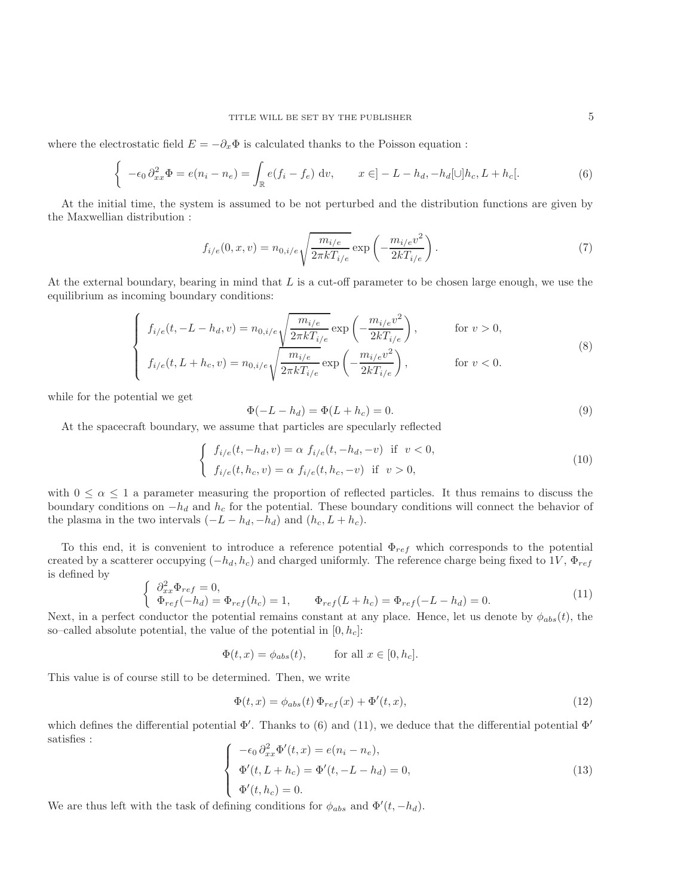where the electrostatic field  $E = -\partial_x \Phi$  is calculated thanks to the Poisson equation :

$$
\begin{cases}\n-\epsilon_0 \,\partial_{xx}^2 \Phi = e(n_i - n_e) = \int_{\mathbb{R}} e(f_i - f_e) \, \mathrm{d}v, \qquad x \in ]-L - h_d, -h_d[\cup]h_c, L + h_c[\n\end{cases} \tag{6}
$$

At the initial time, the system is assumed to be not perturbed and the distribution functions are given by the Maxwellian distribution :

$$
f_{i/e}(0, x, v) = n_{0,i/e} \sqrt{\frac{m_{i/e}}{2\pi k T_{i/e}}} \exp\left(-\frac{m_{i/e}v^2}{2kT_{i/e}}\right).
$$
 (7)

At the external boundary, bearing in mind that L is a cut-off parameter to be chosen large enough, we use the equilibrium as incoming boundary conditions:

$$
\begin{cases}\nf_{i/e}(t, -L - h_d, v) = n_{0,i/e} \sqrt{\frac{m_{i/e}}{2\pi k T_{i/e}}} \exp\left(-\frac{m_{i/e}v^2}{2k T_{i/e}}\right), & \text{for } v > 0, \\
f_{i/e}(t, L + h_c, v) = n_{0,i/e} \sqrt{\frac{m_{i/e}}{2\pi k T_{i/e}}} \exp\left(-\frac{m_{i/e}v^2}{2k T_{i/e}}\right), & \text{for } v < 0.\n\end{cases}
$$
\n(8)

while for the potential we get

$$
\Phi(-L - h_d) = \Phi(L + h_c) = 0.
$$
\n(9)

At the spacecraft boundary, we assume that particles are specularly reflected

$$
\begin{cases}\nf_{i/e}(t, -h_d, v) = \alpha \ f_{i/e}(t, -h_d, -v) & \text{if } v < 0, \\
f_{i/e}(t, h_c, v) = \alpha \ f_{i/e}(t, h_c, -v) & \text{if } v > 0,\n\end{cases}
$$
\n(10)

with  $0 \leq \alpha \leq 1$  a parameter measuring the proportion of reflected particles. It thus remains to discuss the boundary conditions on  $-h_d$  and  $h_c$  for the potential. These boundary conditions will connect the behavior of the plasma in the two intervals  $(-L - h_d, -h_d)$  and  $(h_c, L + h_c)$ .

To this end, it is convenient to introduce a reference potential  $\Phi_{ref}$  which corresponds to the potential created by a scatterer occupying  $(-h_d, h_c)$  and charged uniformly. The reference charge being fixed to 1V,  $\Phi_{ref}$ is defined by

$$
\begin{cases}\n\partial_{xx}^2 \Phi_{ref} = 0, \\
\Phi_{ref}(-h_d) = \Phi_{ref}(h_c) = 1, \qquad \Phi_{ref}(L + h_c) = \Phi_{ref}(-L - h_d) = 0.\n\end{cases}
$$
\n(11)

Next, in a perfect conductor the potential remains constant at any place. Hence, let us denote by  $\phi_{abs}(t)$ , the so–called absolute potential, the value of the potential in  $[0, h_c]$ :

$$
\Phi(t, x) = \phi_{abs}(t), \quad \text{for all } x \in [0, h_c].
$$

This value is of course still to be determined. Then, we write

$$
\Phi(t,x) = \phi_{abs}(t)\,\Phi_{ref}(x) + \Phi'(t,x),\tag{12}
$$

which defines the differential potential  $\Phi'$ . Thanks to (6) and (11), we deduce that the differential potential  $\Phi'$ satisfies :

$$
\begin{cases}\n-\epsilon_0 \partial_{xx}^2 \Phi'(t, x) = e(n_i - n_e), \\
\Phi'(t, L + h_c) = \Phi'(t, -L - h_d) = 0, \\
\Phi'(t, h_c) = 0.\n\end{cases}
$$
\n(13)

We are thus left with the task of defining conditions for  $\phi_{abs}$  and  $\Phi'(t, -h_d)$ .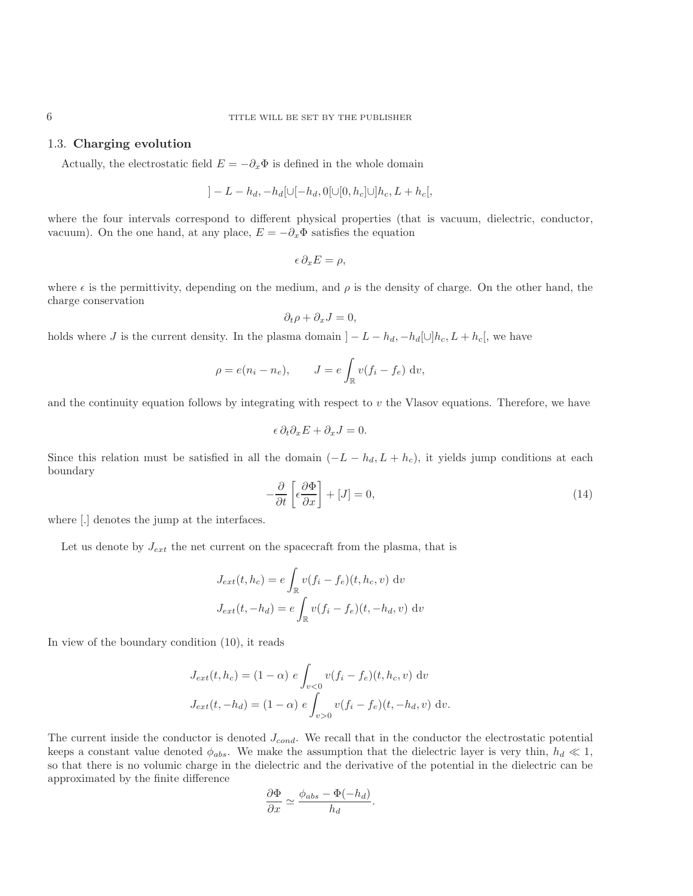### 1.3. Charging evolution

Actually, the electrostatic field  $E = -\partial_x \Phi$  is defined in the whole domain

$$
] - L - h_d, -h_d[ \cup [-h_d, 0[ \cup [0, h_c] \cup ] h_c, L + h_c[
$$

where the four intervals correspond to different physical properties (that is vacuum, dielectric, conductor, vacuum). On the one hand, at any place,  $E = -\partial_x \Phi$  satisfies the equation

$$
\epsilon \,\partial_x E = \rho,
$$

where  $\epsilon$  is the permittivity, depending on the medium, and  $\rho$  is the density of charge. On the other hand, the charge conservation

$$
\partial_t \rho + \partial_x J = 0,
$$

holds where J is the current density. In the plasma domain  $]-L-h_d, -h_d[\cup]h_c, L+h_c[$ , we have

$$
\rho = e(n_i - n_e), \qquad J = e \int_{\mathbb{R}} v(f_i - f_e) \, \mathrm{d}v,
$$

and the continuity equation follows by integrating with respect to  $v$  the Vlasov equations. Therefore, we have

$$
\epsilon \,\partial_t \partial_x E + \partial_x J = 0.
$$

Since this relation must be satisfied in all the domain  $(-L - h_d, L + h_c)$ , it yields jump conditions at each boundary

$$
-\frac{\partial}{\partial t}\left[\epsilon \frac{\partial \Phi}{\partial x}\right] + [J] = 0,\tag{14}
$$

where [.] denotes the jump at the interfaces.

Let us denote by  $J_{ext}$  the net current on the spacecraft from the plasma, that is

$$
J_{ext}(t, h_c) = e \int_{\mathbb{R}} v(f_i - f_e)(t, h_c, v) dv
$$

$$
J_{ext}(t, -h_d) = e \int_{\mathbb{R}} v(f_i - f_e)(t, -h_d, v) dv
$$

In view of the boundary condition (10), it reads

$$
J_{ext}(t, h_c) = (1 - \alpha) e \int_{v < 0} v(f_i - f_e)(t, h_c, v) dv
$$
  

$$
J_{ext}(t, -h_d) = (1 - \alpha) e \int_{v > 0} v(f_i - f_e)(t, -h_d, v) dv.
$$

The current inside the conductor is denoted  $J_{cond}$ . We recall that in the conductor the electrostatic potential keeps a constant value denoted  $\phi_{abs}$ . We make the assumption that the dielectric layer is very thin,  $h_d \ll 1$ , so that there is no volumic charge in the dielectric and the derivative of the potential in the dielectric can be approximated by the finite difference

$$
\frac{\partial \Phi}{\partial x} \simeq \frac{\phi_{abs} - \Phi(-h_d)}{h_d}
$$

.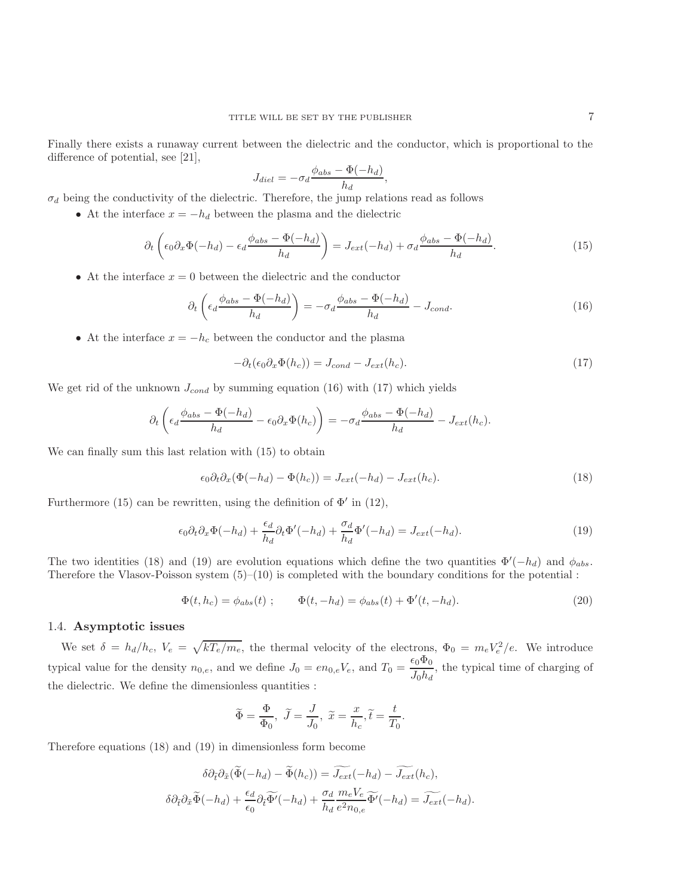Finally there exists a runaway current between the dielectric and the conductor, which is proportional to the difference of potential, see [21],

$$
J_{diel} = -\sigma_d \frac{\phi_{abs} - \Phi(-h_d)}{h_d},
$$

 $\sigma_d$  being the conductivity of the dielectric. Therefore, the jump relations read as follows

• At the interface  $x = -h_d$  between the plasma and the dielectric

$$
\partial_t \left( \epsilon_0 \partial_x \Phi(-h_d) - \epsilon_d \frac{\phi_{abs} - \Phi(-h_d)}{h_d} \right) = J_{ext}(-h_d) + \sigma_d \frac{\phi_{abs} - \Phi(-h_d)}{h_d}.
$$
 (15)

• At the interface  $x = 0$  between the dielectric and the conductor

$$
\partial_t \left( \epsilon_d \frac{\phi_{abs} - \Phi(-h_d)}{h_d} \right) = -\sigma_d \frac{\phi_{abs} - \Phi(-h_d)}{h_d} - J_{cond}.
$$
\n(16)

• At the interface  $x = -h_c$  between the conductor and the plasma

$$
-\partial_t(\epsilon_0 \partial_x \Phi(h_c)) = J_{cond} - J_{ext}(h_c). \tag{17}
$$

We get rid of the unknown  $J_{cond}$  by summing equation (16) with (17) which yields

$$
\partial_t \left( \epsilon_d \frac{\phi_{abs} - \Phi(-h_d)}{h_d} - \epsilon_0 \partial_x \Phi(h_c) \right) = -\sigma_d \frac{\phi_{abs} - \Phi(-h_d)}{h_d} - J_{ext}(h_c).
$$

We can finally sum this last relation with (15) to obtain

$$
\epsilon_0 \partial_t \partial_x (\Phi(-h_d) - \Phi(h_c)) = J_{ext}(-h_d) - J_{ext}(h_c). \tag{18}
$$

Furthermore (15) can be rewritten, using the definition of  $\Phi'$  in (12),

$$
\epsilon_0 \partial_t \partial_x \Phi(-h_d) + \frac{\epsilon_d}{h_d} \partial_t \Phi'(-h_d) + \frac{\sigma_d}{h_d} \Phi'(-h_d) = J_{ext}(-h_d). \tag{19}
$$

The two identities (18) and (19) are evolution equations which define the two quantities  $\Phi'(-h_d)$  and  $\phi_{abs}$ . Therefore the Vlasov-Poisson system  $(5)-(10)$  is completed with the boundary conditions for the potential :

$$
\Phi(t, h_c) = \phi_{abs}(t) ; \qquad \Phi(t, -h_d) = \phi_{abs}(t) + \Phi'(t, -h_d). \tag{20}
$$

### 1.4. Asymptotic issues

We set  $\delta = h_d/h_c$ ,  $V_e = \sqrt{kT_e/m_e}$ , the thermal velocity of the electrons,  $\Phi_0 = m_e V_e^2/e$ . We introduce typical value for the density  $n_{0,e}$ , and we define  $J_0 = en_{0,e} V_e$ , and  $T_0 = \frac{\epsilon_0 \Phi_0}{L}$  $\frac{\partial^2 \mathbf{u} \cdot \mathbf{d}}{\partial^2 \mathbf{b}_d}$ , the typical time of charging of the dielectric. We define the dimensionless quantities :

$$
\widetilde{\Phi} = \frac{\Phi}{\Phi_0}, \ \widetilde{J} = \frac{J}{J_0}, \ \widetilde{x} = \frac{x}{h_c}, \widetilde{t} = \frac{t}{T_0}.
$$

Therefore equations (18) and (19) in dimensionless form become

$$
\delta \partial_{\tilde{t}} \partial_{\tilde{x}} (\tilde{\Phi}(-h_d) - \tilde{\Phi}(h_c)) = \widetilde{J_{ext}}(-h_d) - \widetilde{J_{ext}}(h_c),
$$
  

$$
\delta \partial_{\tilde{t}} \partial_{\tilde{x}} \tilde{\Phi}(-h_d) + \frac{\epsilon_d}{\epsilon_0} \partial_{\tilde{t}} \widetilde{\Phi}'(-h_d) + \frac{\sigma_d}{h_d} \frac{m_e V_e}{e^2 n_{0,e}} \widetilde{\Phi}'(-h_d) = \widetilde{J_{ext}}(-h_d).
$$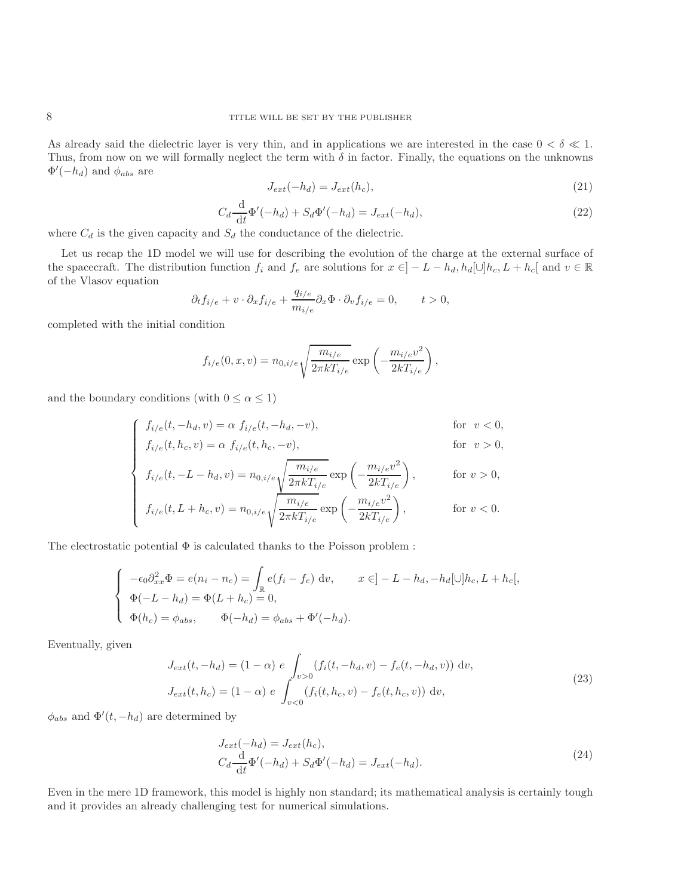As already said the dielectric layer is very thin, and in applications we are interested in the case  $0 < \delta \ll 1$ . Thus, from now on we will formally neglect the term with  $\delta$  in factor. Finally, the equations on the unknowns  $\Phi'(-h_d)$  and  $\phi_{abs}$  are

$$
J_{ext}(-h_d) = J_{ext}(h_c),\tag{21}
$$

$$
C_d \frac{\mathrm{d}}{\mathrm{d}t} \Phi'(-h_d) + S_d \Phi'(-h_d) = J_{ext}(-h_d),\tag{22}
$$

where  $C_d$  is the given capacity and  $S_d$  the conductance of the dielectric.

Let us recap the 1D model we will use for describing the evolution of the charge at the external surface of the spacecraft. The distribution function  $f_i$  and  $f_e$  are solutions for  $x \in ]-L - h_d, h_d[ \cup ] h_c, L + h_c[$  and  $v \in \mathbb{R}$ of the Vlasov equation

$$
\partial_t f_{i/e} + v \cdot \partial_x f_{i/e} + \frac{q_{i/e}}{m_{i/e}} \partial_x \Phi \cdot \partial_v f_{i/e} = 0, \qquad t > 0,
$$

completed with the initial condition

$$
f_{i/e}(0, x, v) = n_{0,i/e} \sqrt{\frac{m_{i/e}}{2\pi kT_{i/e}}}
$$
 exp  $\left(-\frac{m_{i/e}v^2}{2kT_{i/e}}\right)$ ,

and the boundary conditions (with  $0 \leq \alpha \leq 1$ )

$$
\int f_{i/e}(t, -h_d, v) = \alpha f_{i/e}(t, -h_d, -v), \qquad \text{for } v < 0,
$$

$$
f_{i/e}(t, h_c, v) = \alpha f_{i/e}(t, h_c, -v),
$$
 for  $v > 0$ ,  

$$
f_{i/e}(t, h_c, v) = \alpha f_{i/e}(t, h_c, -v),
$$
 for  $v > 0$ ,  

$$
f_{i/e}(t, h_c, v) = \alpha f_{i/e}(t, h_c, -v),
$$
 for  $v > 0$ ,

$$
f_{i/e}(t, -L - h_d, v) = n_{0,i/e} \sqrt{\frac{m_{i/e}}{2\pi k T_{i/e}}} \exp\left(-\frac{m_{i/e}v^2}{2kT_{i/e}}\right), \quad \text{for } v > 0,
$$

$$
f_{i/e}(t, L + h_c, v) = n_{0,i/e} \sqrt{\frac{m_{i/e}}{2\pi k T_{i/e}}} \exp\left(-\frac{m_{i/e}v^2}{2kT_{i/e}}\right), \qquad \text{for } v < 0.
$$

The electrostatic potential  $\Phi$  is calculated thanks to the Poisson problem :

$$
\begin{cases}\n-\epsilon_0 \partial_{xx}^2 \Phi = e(n_i - n_e) = \int_{\mathbb{R}} e(f_i - f_e) dv, & x \in ]-L - h_d, -h_d[\cup]h_c, L + h_c[,\n\Phi(-L - h_d) = \Phi(L + h_c) = 0, \\
\Phi(h_c) = \phi_{abs}, & \Phi(-h_d) = \phi_{abs} + \Phi'(-h_d).\n\end{cases}
$$

Eventually, given

$$
J_{ext}(t, -h_d) = (1 - \alpha) e \int_{v>0} (f_i(t, -h_d, v) - f_e(t, -h_d, v)) dv,
$$
  
\n
$$
J_{ext}(t, h_c) = (1 - \alpha) e \int_{v<0} (f_i(t, h_c, v) - f_e(t, h_c, v)) dv,
$$
\n(23)

 $\phi_{abs}$  and  $\Phi'(t, -h_d)$  are determined by

$$
J_{ext}(-h_d) = J_{ext}(h_c),
$$
  
\n
$$
C_d \frac{d}{dt} \Phi'(-h_d) + S_d \Phi'(-h_d) = J_{ext}(-h_d).
$$
\n(24)

Even in the mere 1D framework, this model is highly non standard; its mathematical analysis is certainly tough and it provides an already challenging test for numerical simulations.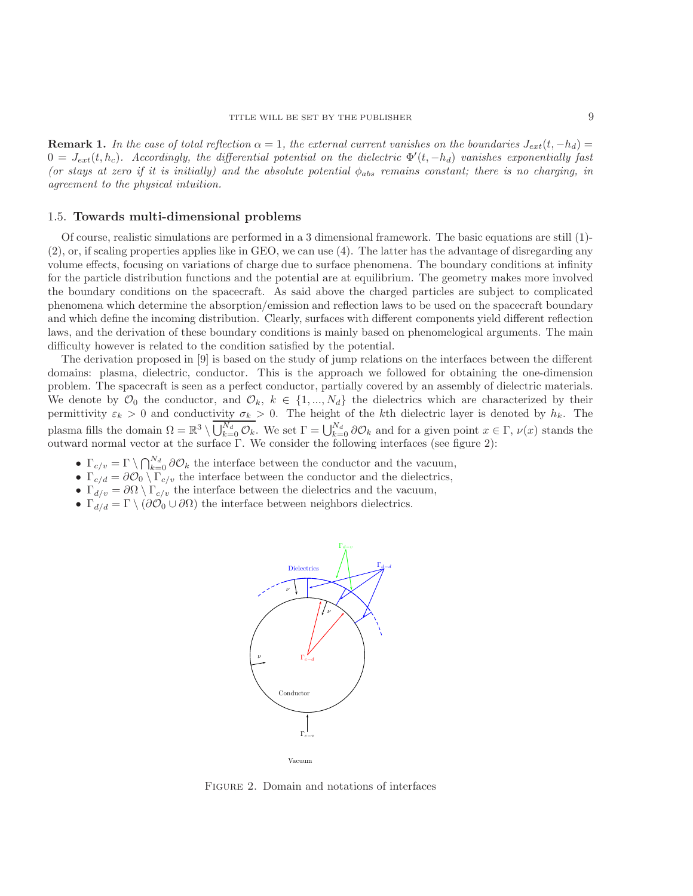**Remark 1.** In the case of total reflection  $\alpha = 1$ , the external current vanishes on the boundaries  $J_{ext}(t, -h_d)$  $0 = J_{ext}(t, h_c)$ . Accordingly, the differential potential on the dielectric  $\Phi'(t, -h_d)$  vanishes exponentially fast (or stays at zero if it is initially) and the absolute potential  $\phi_{abs}$  remains constant; there is no charging, in agreement to the physical intuition.

#### 1.5. Towards multi-dimensional problems

Of course, realistic simulations are performed in a 3 dimensional framework. The basic equations are still (1)- (2), or, if scaling properties applies like in GEO, we can use (4). The latter has the advantage of disregarding any volume effects, focusing on variations of charge due to surface phenomena. The boundary conditions at infinity for the particle distribution functions and the potential are at equilibrium. The geometry makes more involved the boundary conditions on the spacecraft. As said above the charged particles are subject to complicated phenomena which determine the absorption/emission and reflection laws to be used on the spacecraft boundary and which define the incoming distribution. Clearly, surfaces with different components yield different reflection laws, and the derivation of these boundary conditions is mainly based on phenomelogical arguments. The main difficulty however is related to the condition satisfied by the potential.

The derivation proposed in [9] is based on the study of jump relations on the interfaces between the different domains: plasma, dielectric, conductor. This is the approach we followed for obtaining the one-dimension problem. The spacecraft is seen as a perfect conductor, partially covered by an assembly of dielectric materials. We denote by  $\mathcal{O}_0$  the conductor, and  $\mathcal{O}_k$ ,  $k \in \{1, ..., N_d\}$  the dielectrics which are characterized by their permittivity  $\varepsilon_k > 0$  and conductivity  $\sigma_k > 0$ . The height of the kth dielectric layer is denoted by  $h_k$ . The plasma fills the domain  $\Omega = \mathbb{R}^3 \setminus \bigcup_{k=0}^{N_d} \mathcal{O}_k$ . We set  $\Gamma = \bigcup_{k=0}^{N_d} \partial \mathcal{O}_k$  and for a given point  $x \in \Gamma$ ,  $\nu(x)$  stands the outward normal vector at the surface  $\Gamma$ . We consider the following interfaces (see figure 2):

- $\Gamma_{c/v} = \Gamma \setminus \bigcap_{k=0}^{N_d} \partial \mathcal{O}_k$  the interface between the conductor and the vacuum,
- $\Gamma_{c/d} = \partial \mathcal{O}_0 \setminus \Gamma_{c/v}$  the interface between the conductor and the dielectrics,
- $\Gamma_{d/v} = \partial \Omega \setminus \Gamma_{c/v}$  the interface between the dielectrics and the vacuum,
- $\Gamma_{d/d} = \Gamma \setminus (\partial \mathcal{O}_0 \cup \partial \Omega)$  the interface between neighbors dielectrics.



Figure 2. Domain and notations of interfaces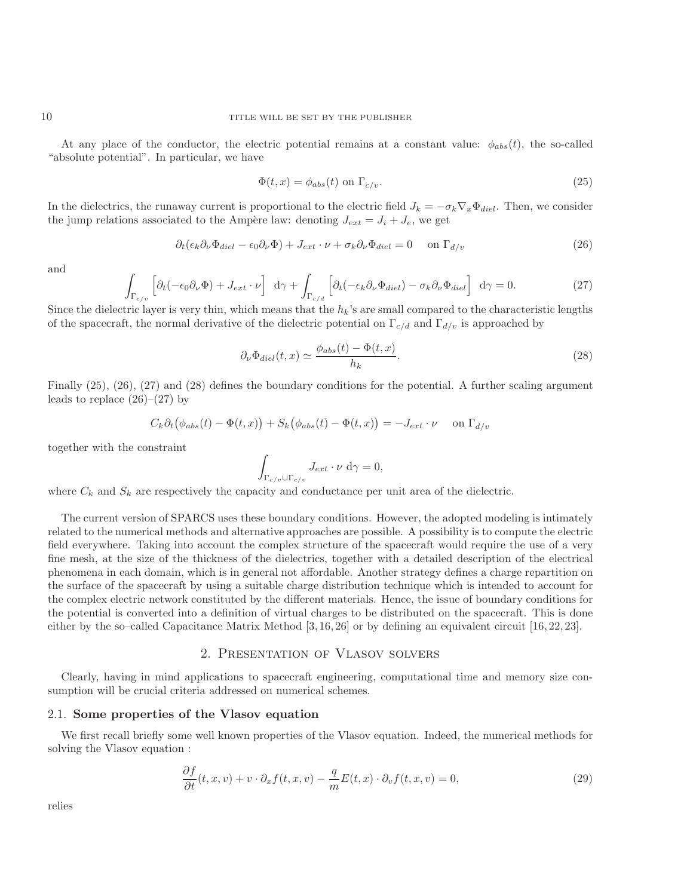At any place of the conductor, the electric potential remains at a constant value:  $\phi_{abs}(t)$ , the so-called "absolute potential". In particular, we have

$$
\Phi(t, x) = \phi_{abs}(t) \text{ on } \Gamma_{c/v}.
$$
\n(25)

In the dielectrics, the runaway current is proportional to the electric field  $J_k = -\sigma_k \nabla_x \Phi_{diel}$ . Then, we consider the jump relations associated to the Ampère law: denoting  $J_{ext} = J_i + J_e$ , we get

$$
\partial_t (\epsilon_k \partial_\nu \Phi_{diel} - \epsilon_0 \partial_\nu \Phi) + J_{ext} \cdot \nu + \sigma_k \partial_\nu \Phi_{diel} = 0 \quad \text{on } \Gamma_{d/v}
$$
\n(26)

and

$$
\int_{\Gamma_{c/v}} \left[ \partial_t (-\epsilon_0 \partial_\nu \Phi) + J_{ext} \cdot \nu \right] d\gamma + \int_{\Gamma_{c/d}} \left[ \partial_t (-\epsilon_k \partial_\nu \Phi_{diel}) - \sigma_k \partial_\nu \Phi_{diel} \right] d\gamma = 0.
$$
\n(27)

Since the dielectric layer is very thin, which means that the  $h_k$ 's are small compared to the characteristic lengths of the spacecraft, the normal derivative of the dielectric potential on  $\Gamma_{c/d}$  and  $\Gamma_{d/v}$  is approached by

$$
\partial_{\nu} \Phi_{diel}(t, x) \simeq \frac{\phi_{abs}(t) - \Phi(t, x)}{h_k}.
$$
\n(28)

Finally (25), (26), (27) and (28) defines the boundary conditions for the potential. A further scaling argument leads to replace  $(26)-(27)$  by

$$
C_k \partial_t (\phi_{abs}(t) - \Phi(t, x)) + S_k (\phi_{abs}(t) - \Phi(t, x)) = -J_{ext} \cdot \nu \quad \text{on } \Gamma_{d/\nu}
$$

together with the constraint

$$
\int_{\Gamma_{c/v} \cup \Gamma_{c/v}} J_{ext} \cdot \nu \, d\gamma = 0,
$$

where  $C_k$  and  $S_k$  are respectively the capacity and conductance per unit area of the dielectric.

The current version of SPARCS uses these boundary conditions. However, the adopted modeling is intimately related to the numerical methods and alternative approaches are possible. A possibility is to compute the electric field everywhere. Taking into account the complex structure of the spacecraft would require the use of a very fine mesh, at the size of the thickness of the dielectrics, together with a detailed description of the electrical phenomena in each domain, which is in general not affordable. Another strategy defines a charge repartition on the surface of the spacecraft by using a suitable charge distribution technique which is intended to account for the complex electric network constituted by the different materials. Hence, the issue of boundary conditions for the potential is converted into a definition of virtual charges to be distributed on the spacecraft. This is done either by the so–called Capacitance Matrix Method [3, 16, 26] or by defining an equivalent circuit [16, 22, 23].

# 2. Presentation of Vlasov solvers

Clearly, having in mind applications to spacecraft engineering, computational time and memory size consumption will be crucial criteria addressed on numerical schemes.

# 2.1. Some properties of the Vlasov equation

We first recall briefly some well known properties of the Vlasov equation. Indeed, the numerical methods for solving the Vlasov equation :

$$
\frac{\partial f}{\partial t}(t, x, v) + v \cdot \partial_x f(t, x, v) - \frac{q}{m} E(t, x) \cdot \partial_v f(t, x, v) = 0,
$$
\n(29)

relies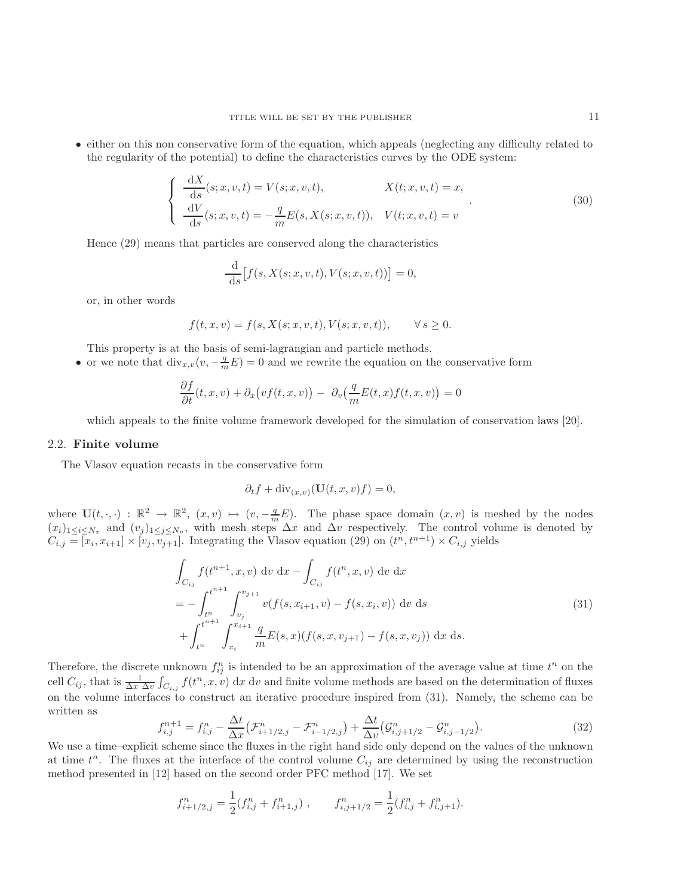• either on this non conservative form of the equation, which appeals (neglecting any difficulty related to the regularity of the potential) to define the characteristics curves by the ODE system:

$$
\begin{cases}\n\frac{dX}{ds}(s; x, v, t) = V(s; x, v, t), & X(t; x, v, t) = x, \\
\frac{dV}{ds}(s; x, v, t) = -\frac{q}{m}E(s, X(s; x, v, t)), & V(t; x, v, t) = v\n\end{cases}
$$
\n(30)

Hence (29) means that particles are conserved along the characteristics

$$
\frac{\mathrm{d}}{\mathrm{d}s} \big[ f(s, X(s; x, v, t), V(s; x, v, t)) \big] = 0,
$$

or, in other words

 $\overline{\phantom{a}}$ 

$$
f(t, x, v) = f(s, X(s; x, v, t), V(s; x, v, t)), \quad \forall s \ge 0.
$$

This property is at the basis of semi-lagrangian and particle methods.

• or we note that  $\text{div}_{x,v}(v, -\frac{q}{m}E) = 0$  and we rewrite the equation on the conservative form

$$
\frac{\partial f}{\partial t}(t, x, v) + \partial_x(v f(t, x, v)) - \partial_v(\frac{q}{m} E(t, x) f(t, x, v)) = 0
$$

which appeals to the finite volume framework developed for the simulation of conservation laws [20].

#### 2.2. Finite volume

The Vlasov equation recasts in the conservative form

$$
\partial_t f + \operatorname{div}_{(x,v)}(\mathbf{U}(t,x,v)f) = 0,
$$

where  $\mathbf{U}(t, \cdot, \cdot) : \mathbb{R}^2 \to \mathbb{R}^2$ ,  $(x, v) \mapsto (v, -\frac{q}{m}E)$ . The phase space domain  $(x, v)$  is meshed by the nodes  $(x_i)_{1\leq i\leq N_x}$  and  $(v_j)_{1\leq j\leq N_y}$ , with mesh steps  $\Delta x$  and  $\Delta v$  respectively. The control volume is denoted by  $C_{i,j} = [x_i, x_{i+1}] \times [v_j, v_{j+1}]$ . Integrating the Vlasov equation (29) on  $(t^n, t^{n+1}) \times C_{i,j}$  yields

$$
\int_{C_{ij}} f(t^{n+1}, x, v) dv dx - \int_{C_{ij}} f(t^n, x, v) dv dx
$$
\n
$$
= - \int_{t^n}^{t^{n+1}} \int_{v_j}^{v_{j+1}} v(f(s, x_{i+1}, v) - f(s, x_i, v)) dv ds
$$
\n
$$
+ \int_{t^n}^{t^{n+1}} \int_{x_i}^{x_{i+1}} \frac{q}{m} E(s, x) (f(s, x, v_{j+1}) - f(s, x, v_j)) dx ds.
$$
\n(31)

Therefore, the discrete unknown  $f_{ij}^n$  is intended to be an approximation of the average value at time  $t^n$  on the cell  $C_{ij}$ , that is  $\frac{1}{\Delta x \Delta v} \int_{C_{i,j}} f(t^n, x, v) dx dv$  and finite volume methods are based on the determination of fluxes on the volume interfaces to construct an iterative procedure inspired from (31). Namely, the scheme can be written as

$$
f_{i,j}^{n+1} = f_{i,j}^n - \frac{\Delta t}{\Delta x} \left( \mathcal{F}_{i+1/2,j}^n - \mathcal{F}_{i-1/2,j}^n \right) + \frac{\Delta t}{\Delta y} \left( \mathcal{G}_{i,j+1/2}^n - \mathcal{G}_{i,j-1/2}^n \right).
$$
(32)

We use a time–explicit scheme since the fluxes in the right hand side only depend on the values of the unknown at time  $t^n$ . The fluxes at the interface of the control volume  $C_{ij}$  are determined by using the reconstruction method presented in [12] based on the second order PFC method [17]. We set

$$
f_{i+1/2,j}^n = \frac{1}{2}(f_{i,j}^n + f_{i+1,j}^n), \qquad f_{i,j+1/2}^n = \frac{1}{2}(f_{i,j}^n + f_{i,j+1}^n).
$$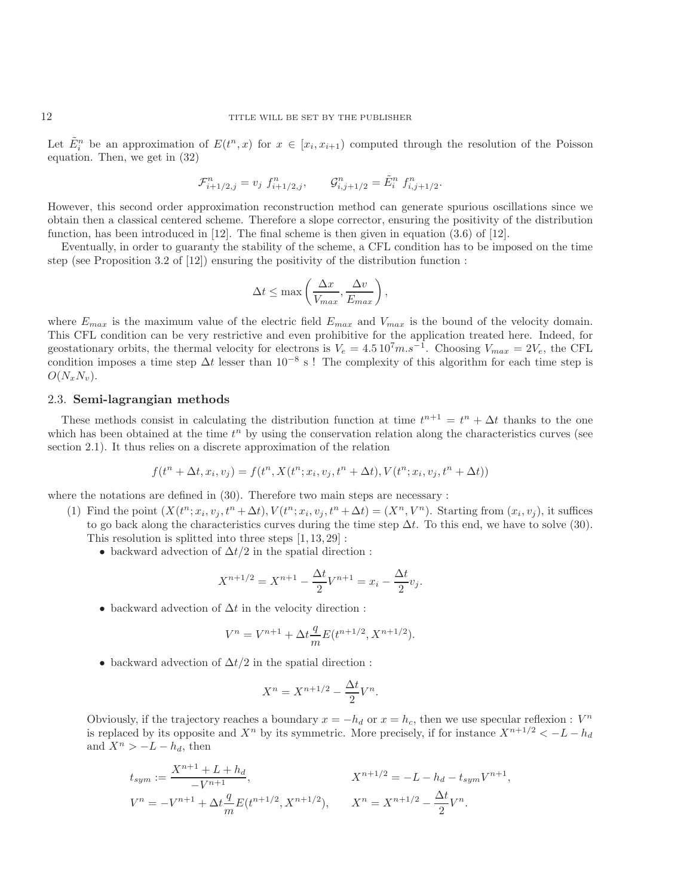Let  $\tilde{E}_i^n$  be an approximation of  $E(t^n, x)$  for  $x \in [x_i, x_{i+1})$  computed through the resolution of the Poisson equation. Then, we get in (32)

$$
\mathcal{F}^n_{i+1/2,j} = v_j \ f^n_{i+1/2,j}, \qquad \mathcal{G}^n_{i,j+1/2} = \tilde{E}^n_i \ f^n_{i,j+1/2}.
$$

However, this second order approximation reconstruction method can generate spurious oscillations since we obtain then a classical centered scheme. Therefore a slope corrector, ensuring the positivity of the distribution function, has been introduced in [12]. The final scheme is then given in equation (3.6) of [12].

Eventually, in order to guaranty the stability of the scheme, a CFL condition has to be imposed on the time step (see Proposition 3.2 of [12]) ensuring the positivity of the distribution function :

$$
\Delta t \leq \max \left( \frac{\Delta x}{V_{max}}, \frac{\Delta v}{E_{max}} \right),\,
$$

where  $E_{max}$  is the maximum value of the electric field  $E_{max}$  and  $V_{max}$  is the bound of the velocity domain. This CFL condition can be very restrictive and even prohibitive for the application treated here. Indeed, for geostationary orbits, the thermal velocity for electrons is  $V_e = 4.5 10^7$  m.s<sup>-1</sup>. Choosing  $V_{max} = 2V_e$ , the CFL condition imposes a time step  $\Delta t$  lesser than  $10^{-8}$  s! The complexity of this algorithm for each time step is  $O(N_xN_y)$ .

#### 2.3. Semi-lagrangian methods

These methods consist in calculating the distribution function at time  $t^{n+1} = t^n + \Delta t$  thanks to the one which has been obtained at the time  $t^n$  by using the conservation relation along the characteristics curves (see section 2.1). It thus relies on a discrete approximation of the relation

$$
f(t^n+\Delta t,x_i,v_j)=f(t^n,X(t^n;x_i,v_j,t^n+\Delta t),V(t^n;x_i,v_j,t^n+\Delta t))
$$

where the notations are defined in  $(30)$ . Therefore two main steps are necessary :

- (1) Find the point  $(X(t^n; x_i, v_j, t^n + \Delta t), V(t^n; x_i, v_j, t^n + \Delta t) = (X^n, V^n)$ . Starting from  $(x_i, v_j)$ , it suffices to go back along the characteristics curves during the time step  $\Delta t$ . To this end, we have to solve (30). This resolution is splitted into three steps  $[1, 13, 29]$ :
	- backward advection of  $\Delta t/2$  in the spatial direction :

$$
X^{n+1/2} = X^{n+1} - \frac{\Delta t}{2} V^{n+1} = x_i - \frac{\Delta t}{2} v_j.
$$

• backward advection of  $\Delta t$  in the velocity direction :

$$
V^{n} = V^{n+1} + \Delta t \frac{q}{m} E(t^{n+1/2}, X^{n+1/2}).
$$

• backward advection of  $\Delta t/2$  in the spatial direction :

$$
X^n = X^{n+1/2} - \frac{\Delta t}{2} V^n.
$$

Obviously, if the trajectory reaches a boundary  $x = -h_d$  or  $x = h_c$ , then we use specular reflexion :  $V^n$ is replaced by its opposite and  $X^n$  by its symmetric. More precisely, if for instance  $X^{n+1/2} < -L - h_d$ and  $X^n > -L - h_d$ , then

$$
t_{sym} := \frac{X^{n+1} + L + h_d}{-V^{n+1}},
$$
  
\n
$$
X^{n+1/2} = -L - h_d - t_{sym}V^{n+1},
$$
  
\n
$$
V^n = -V^{n+1} + \Delta t \frac{q}{m} E(t^{n+1/2}, X^{n+1/2}),
$$
  
\n
$$
X^n = X^{n+1/2} - \frac{\Delta t}{2} V^n.
$$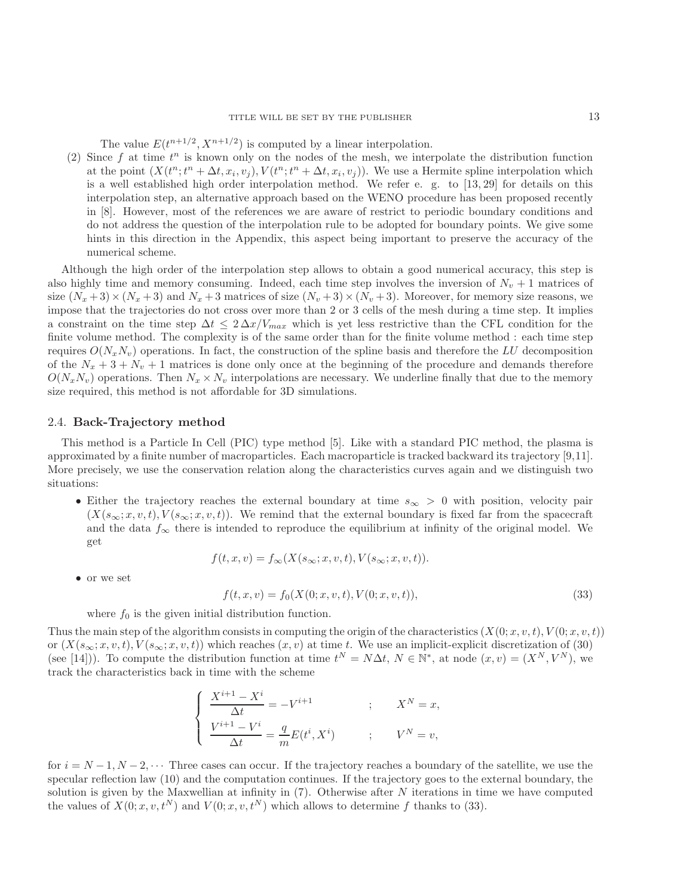The value  $E(t^{n+1/2}, X^{n+1/2})$  is computed by a linear interpolation.

(2) Since  $f$  at time  $t^n$  is known only on the nodes of the mesh, we interpolate the distribution function at the point  $(X(t^n; t^n + \Delta t, x_i, v_j), V(t^n; t^n + \Delta t, x_i, v_j)).$  We use a Hermite spline interpolation which is a well established high order interpolation method. We refer e. g. to [13, 29] for details on this interpolation step, an alternative approach based on the WENO procedure has been proposed recently in [8]. However, most of the references we are aware of restrict to periodic boundary conditions and do not address the question of the interpolation rule to be adopted for boundary points. We give some hints in this direction in the Appendix, this aspect being important to preserve the accuracy of the numerical scheme.

Although the high order of the interpolation step allows to obtain a good numerical accuracy, this step is also highly time and memory consuming. Indeed, each time step involves the inversion of  $N_v + 1$  matrices of size  $(N_x+3)\times(N_x+3)$  and  $N_x+3$  matrices of size  $(N_v+3)\times(N_v+3)$ . Moreover, for memory size reasons, we impose that the trajectories do not cross over more than 2 or 3 cells of the mesh during a time step. It implies a constraint on the time step  $\Delta t \leq 2 \Delta x / V_{max}$  which is yet less restrictive than the CFL condition for the finite volume method. The complexity is of the same order than for the finite volume method : each time step requires  $O(N_xN_v)$  operations. In fact, the construction of the spline basis and therefore the LU decomposition of the  $N_x + 3 + N_v + 1$  matrices is done only once at the beginning of the procedure and demands therefore  $O(N_xN_v)$  operations. Then  $N_x \times N_v$  interpolations are necessary. We underline finally that due to the memory size required, this method is not affordable for 3D simulations.

### 2.4. Back-Trajectory method

This method is a Particle In Cell (PIC) type method [5]. Like with a standard PIC method, the plasma is approximated by a finite number of macroparticles. Each macroparticle is tracked backward its trajectory [9,11]. More precisely, we use the conservation relation along the characteristics curves again and we distinguish two situations:

• Either the trajectory reaches the external boundary at time  $s_{\infty} > 0$  with position, velocity pair  $(X(s_{\infty}; x, v, t), V(s_{\infty}; x, v, t)).$  We remind that the external boundary is fixed far from the spacecraft and the data  $f_{\infty}$  there is intended to reproduce the equilibrium at infinity of the original model. We get

$$
f(t, x, v) = f_{\infty}(X(s_{\infty}; x, v, t), V(s_{\infty}; x, v, t)).
$$

• or we set

$$
f(t, x, v) = f_0(X(0; x, v, t), V(0; x, v, t)),
$$
\n(33)

where  $f_0$  is the given initial distribution function.

Thus the main step of the algorithm consists in computing the origin of the characteristics  $(X(0; x, v, t), V(0; x, v, t))$ or  $(X(s_{\infty}; x, v, t), V(s_{\infty}; x, v, t))$  which reaches  $(x, v)$  at time t. We use an implicit-explicit discretization of (30) (see [14])). To compute the distribution function at time  $t^N = N\Delta t$ ,  $N \in \mathbb{N}^*$ , at node  $(x, v) = (X^N, V^N)$ , we track the characteristics back in time with the scheme

$$
\left\{\begin{array}{ll} \displaystyle \frac{X^{i+1}-X^i}{\Delta t}=-V^{i+1} \qquad \qquad ; \qquad X^N=x, \\[10pt] \displaystyle \frac{V^{i+1}-V^i}{\Delta t}=\frac{q}{m}E(t^i,X^i) \qquad \qquad ; \qquad V^N=v, \end{array}\right.
$$

for  $i = N - 1, N - 2, \cdots$  Three cases can occur. If the trajectory reaches a boundary of the satellite, we use the specular reflection law (10) and the computation continues. If the trajectory goes to the external boundary, the solution is given by the Maxwellian at infinity in  $(7)$ . Otherwise after N iterations in time we have computed the values of  $X(0; x, v, t^N)$  and  $V(0; x, v, t^N)$  which allows to determine f thanks to (33).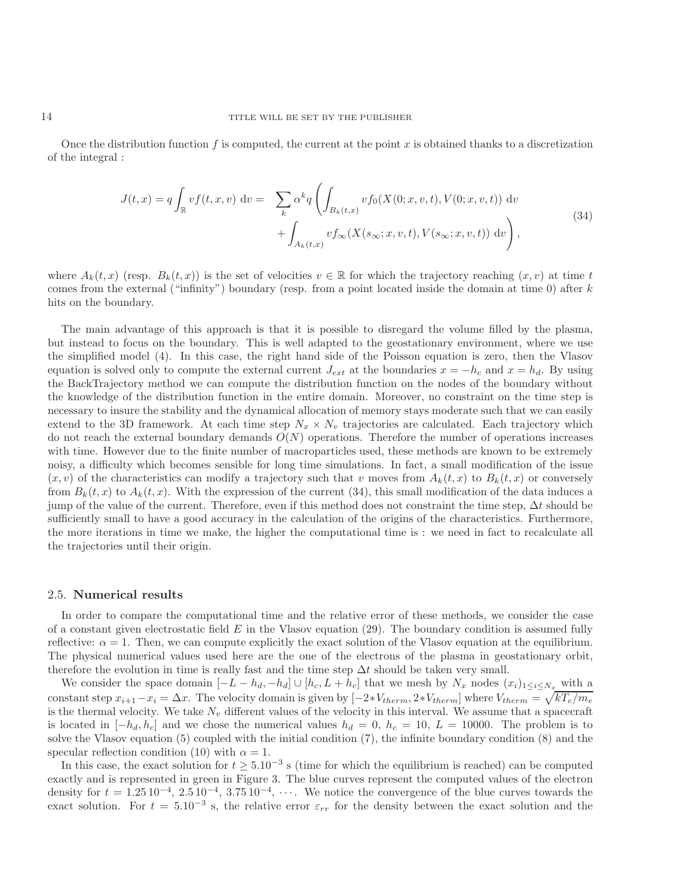Once the distribution function f is computed, the current at the point x is obtained thanks to a discretization of the integral :

$$
J(t,x) = q \int_{\mathbb{R}} v f(t,x,v) dv = \sum_{k} \alpha^{k} q \left( \int_{B_{k}(t,x)} v f_{0}(X(0;x,v,t), V(0;x,v,t)) dv + \int_{A_{k}(t,x)} v f_{\infty}(X(s_{\infty};x,v,t), V(s_{\infty};x,v,t)) dv \right),
$$
\n(34)

where  $A_k(t, x)$  (resp.  $B_k(t, x)$ ) is the set of velocities  $v \in \mathbb{R}$  for which the trajectory reaching  $(x, v)$  at time t comes from the external ("infinity") boundary (resp. from a point located inside the domain at time 0) after  $k$ hits on the boundary.

The main advantage of this approach is that it is possible to disregard the volume filled by the plasma, but instead to focus on the boundary. This is well adapted to the geostationary environment, where we use the simplified model (4). In this case, the right hand side of the Poisson equation is zero, then the Vlasov equation is solved only to compute the external current  $J_{ext}$  at the boundaries  $x = -h_c$  and  $x = h_d$ . By using the BackTrajectory method we can compute the distribution function on the nodes of the boundary without the knowledge of the distribution function in the entire domain. Moreover, no constraint on the time step is necessary to insure the stability and the dynamical allocation of memory stays moderate such that we can easily extend to the 3D framework. At each time step  $N_x \times N_v$  trajectories are calculated. Each trajectory which do not reach the external boundary demands  $O(N)$  operations. Therefore the number of operations increases with time. However due to the finite number of macroparticles used, these methods are known to be extremely noisy, a difficulty which becomes sensible for long time simulations. In fact, a small modification of the issue  $(x, v)$  of the characteristics can modify a trajectory such that v moves from  $A_k(t, x)$  to  $B_k(t, x)$  or conversely from  $B_k(t, x)$  to  $A_k(t, x)$ . With the expression of the current (34), this small modification of the data induces a jump of the value of the current. Therefore, even if this method does not constraint the time step,  $\Delta t$  should be sufficiently small to have a good accuracy in the calculation of the origins of the characteristics. Furthermore, the more iterations in time we make, the higher the computational time is : we need in fact to recalculate all the trajectories until their origin.

#### 2.5. Numerical results

In order to compare the computational time and the relative error of these methods, we consider the case of a constant given electrostatic field  $E$  in the Vlasov equation (29). The boundary condition is assumed fully reflective:  $\alpha = 1$ . Then, we can compute explicitly the exact solution of the Vlasov equation at the equilibrium. The physical numerical values used here are the one of the electrons of the plasma in geostationary orbit, therefore the evolution in time is really fast and the time step  $\Delta t$  should be taken very small.

We consider the space domain  $[-L-h_d,-h_d] \cup [h_c,L+h_c]$  that we mesh by  $N_x$  nodes  $(x_i)_{1\leq i\leq N_x}$  with a constant step  $x_{i+1}-x_i = \Delta x$ . The velocity domain is given by  $[-2*V_{therm}, 2*V_{therm}]$  where  $V_{therm} = \sqrt{kT_e/m_e}$ is the thermal velocity. We take  $N_v$  different values of the velocity in this interval. We assume that a spacecraft is located in  $[-h_d, h_c]$  and we chose the numerical values  $h_d = 0$ ,  $h_c = 10$ ,  $L = 10000$ . The problem is to solve the Vlasov equation (5) coupled with the initial condition (7), the infinite boundary condition (8) and the specular reflection condition (10) with  $\alpha = 1$ .

In this case, the exact solution for  $t \geq 5.10^{-3}$  s (time for which the equilibrium is reached) can be computed exactly and is represented in green in Figure 3. The blue curves represent the computed values of the electron density for  $t = 1.25 \, 10^{-4}$ ,  $2.5 \, 10^{-4}$ ,  $3.75 \, 10^{-4}$ ,  $\cdots$ . We notice the convergence of the blue curves towards the exact solution. For  $t = 5.10^{-3}$  s, the relative error  $\varepsilon_{rr}$  for the density between the exact solution and the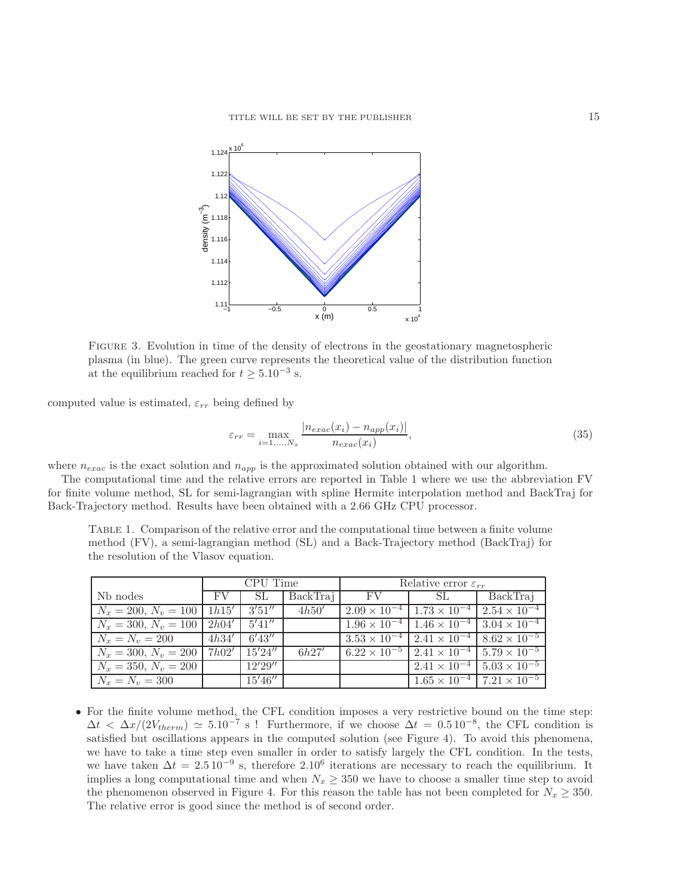

Figure 3. Evolution in time of the density of electrons in the geostationary magnetospheric plasma (in blue). The green curve represents the theoretical value of the distribution function at the equilibrium reached for  $t \geq 5.10^{-3}$  s.

computed value is estimated,  $\varepsilon_{rr}$  being defined by

$$
\varepsilon_{rr} = \max_{i=1,\dots,N_x} \frac{|n_{exac}(x_i) - n_{app}(x_i)|}{n_{exac}(x_i)},\tag{35}
$$

where  $n_{exac}$  is the exact solution and  $n_{app}$  is the approximated solution obtained with our algorithm.

The computational time and the relative errors are reported in Table 1 where we use the abbreviation FV for finite volume method, SL for semi-lagrangian with spline Hermite interpolation method and BackTraj for Back-Trajectory method. Results have been obtained with a 2.66 GHz CPU processor.

Table 1. Comparison of the relative error and the computational time between a finite volume method (FV), a semi-lagrangian method (SL) and a Back-Trajectory method (BackTraj) for the resolution of the Vlasov equation.

|                                | CPU Time |         |          | Relative error $\varepsilon_{rr}$ |                                                                       |                                                                                       |
|--------------------------------|----------|---------|----------|-----------------------------------|-----------------------------------------------------------------------|---------------------------------------------------------------------------------------|
| N <sub>b</sub> nodes           | FV       | SЬ      | BackTraj | FV                                | -SL                                                                   | BackTraj                                                                              |
| $N_x = 200, N_v = 100$   1h15' |          | 3'51''  | 4h50'    |                                   | $2.09 \times 10^{-4}$   $1.73 \times 10^{-4}$   $2.54 \times 10^{-4}$ |                                                                                       |
| $N_x = 300, N_v = 100$         | 2h04'    | 5'41''  |          |                                   |                                                                       | $1.96 \times 10^{-4}$ 1.46 $\times$ 10 <sup>-4</sup>   3.04 $\times$ 10 <sup>-4</sup> |
| $N_x = N_v = 200$              | 4h34'    | 6'43''  |          |                                   |                                                                       | $3.53 \times 10^{-4}$ $2.41 \times 10^{-4}$ $8.62 \times 10^{-5}$                     |
| $N_x = 300, N_v = 200$         | 7h02'    | 15'24'' | 6h27'    |                                   |                                                                       | $6.22 \times 10^{-5}$ $2.41 \times 10^{-4}$ $5.79 \times 10^{-5}$                     |
| $N_x = 350, N_v = 200$         |          | 12'29'' |          |                                   |                                                                       | $2.41 \times 10^{-4}$   $5.03 \times 10^{-5}$                                         |
| $N_r = N_v = 300$              |          | 15'46'' |          |                                   |                                                                       | $1.65 \times 10^{-4}$ 7.21 $\times 10^{-5}$                                           |

• For the finite volume method, the CFL condition imposes a very restrictive bound on the time step:  $\Delta t < \Delta x/(2V_{therm}) \simeq 5.10^{-7}$  s! Furthermore, if we choose  $\Delta t = 0.5 10^{-8}$ , the CFL condition is satisfied but oscillations appears in the computed solution (see Figure 4). To avoid this phenomena, we have to take a time step even smaller in order to satisfy largely the CFL condition. In the tests, we have taken  $\Delta t = 2.5 \, 10^{-9}$  s, therefore  $2.10^6$  iterations are necessary to reach the equilibrium. It implies a long computational time and when  $N_x \geq 350$  we have to choose a smaller time step to avoid the phenomenon observed in Figure 4. For this reason the table has not been completed for  $N_x \geq 350$ . The relative error is good since the method is of second order.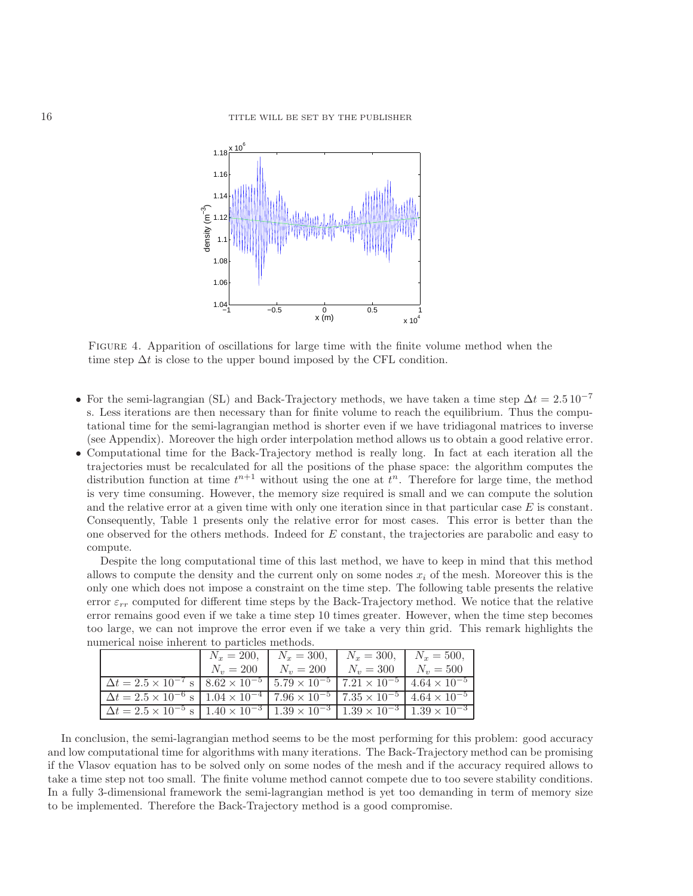

Figure 4. Apparition of oscillations for large time with the finite volume method when the time step  $\Delta t$  is close to the upper bound imposed by the CFL condition.

- For the semi-lagrangian (SL) and Back-Trajectory methods, we have taken a time step  $\Delta t = 2.5 \, 10^{-7}$ s. Less iterations are then necessary than for finite volume to reach the equilibrium. Thus the computational time for the semi-lagrangian method is shorter even if we have tridiagonal matrices to inverse (see Appendix). Moreover the high order interpolation method allows us to obtain a good relative error.
- Computational time for the Back-Trajectory method is really long. In fact at each iteration all the trajectories must be recalculated for all the positions of the phase space: the algorithm computes the distribution function at time  $t^{n+1}$  without using the one at  $t^n$ . Therefore for large time, the method is very time consuming. However, the memory size required is small and we can compute the solution and the relative error at a given time with only one iteration since in that particular case  $E$  is constant. Consequently, Table 1 presents only the relative error for most cases. This error is better than the one observed for the others methods. Indeed for E constant, the trajectories are parabolic and easy to compute.

Despite the long computational time of this last method, we have to keep in mind that this method allows to compute the density and the current only on some nodes  $x_i$  of the mesh. Moreover this is the only one which does not impose a constraint on the time step. The following table presents the relative error  $\varepsilon_{rr}$  computed for different time steps by the Back-Trajectory method. We notice that the relative error remains good even if we take a time step 10 times greater. However, when the time step becomes too large, we can not improve the error even if we take a very thin grid. This remark highlights the numerical noise inherent to particles methods.

|                                                                                                                                                                                       | $N_r = 200, \quad N_r = 300,$ | $N_r = 300$ , | $N_x = 500,$ |
|---------------------------------------------------------------------------------------------------------------------------------------------------------------------------------------|-------------------------------|---------------|--------------|
|                                                                                                                                                                                       | $N_v = 200$   $N_v = 200$     | $N_v = 300$   | $N_v = 500$  |
| $\Delta t = 2.5 \times 10^{-7}$ s $\mid 8.62 \times 10^{-5} \mid 5.79 \times 10^{-5} \mid 7.21 \times 10^{-5} \mid 4.64 \times 10^{-5}$                                               |                               |               |              |
| $\Delta t = 2.5 \times 10^{-6} \text{ s} \left[ 1.04 \times 10^{-4} \right] \left[ 7.96 \times 10^{-5} \right] \left[ 7.35 \times 10^{-5} \right] \left[ 4.64 \times 10^{-5} \right]$ |                               |               |              |
| $\Delta t = 2.5 \times 10^{-5} \text{ s} \left[ 1.40 \times 10^{-3} \left[ 1.39 \times 10^{-3} \left[ 1.39 \times 10^{-3} \right] 1.39 \times 10^{-3} \right] \right]$                |                               |               |              |

In conclusion, the semi-lagrangian method seems to be the most performing for this problem: good accuracy and low computational time for algorithms with many iterations. The Back-Trajectory method can be promising if the Vlasov equation has to be solved only on some nodes of the mesh and if the accuracy required allows to take a time step not too small. The finite volume method cannot compete due to too severe stability conditions. In a fully 3-dimensional framework the semi-lagrangian method is yet too demanding in term of memory size to be implemented. Therefore the Back-Trajectory method is a good compromise.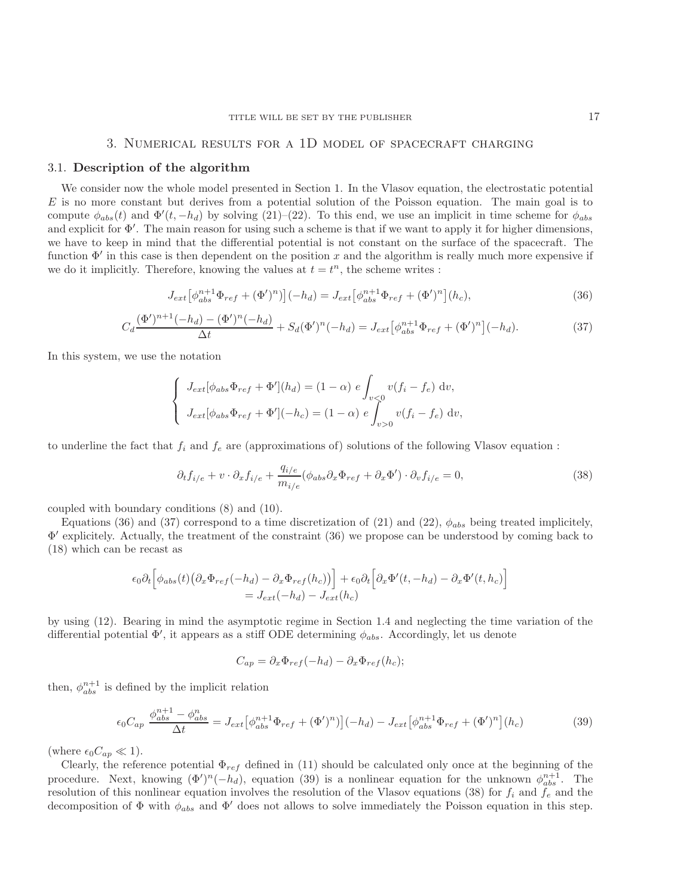### 3. Numerical results for a 1D model of spacecraft charging

### 3.1. Description of the algorithm

We consider now the whole model presented in Section 1. In the Vlasov equation, the electrostatic potential  $E$  is no more constant but derives from a potential solution of the Poisson equation. The main goal is to compute  $\phi_{abs}(t)$  and  $\Phi'(t, -h_d)$  by solving (21)–(22). To this end, we use an implicit in time scheme for  $\phi_{abs}$ and explicit for Φ′ . The main reason for using such a scheme is that if we want to apply it for higher dimensions, we have to keep in mind that the differential potential is not constant on the surface of the spacecraft. The function  $\Phi'$  in this case is then dependent on the position x and the algorithm is really much more expensive if we do it implicitly. Therefore, knowing the values at  $t = t<sup>n</sup>$ , the scheme writes :

$$
J_{ext}[\phi_{abs}^{n+1}\Phi_{ref}+(\Phi')^n)](-h_d) = J_{ext}[\phi_{abs}^{n+1}\Phi_{ref}+(\Phi')^n](h_c),
$$
\n(36)

$$
C_d \frac{(\Phi')^{n+1}(-h_d) - (\Phi')^n(-h_d)}{\Delta t} + S_d(\Phi')^n(-h_d) = J_{ext} \left[ \phi_{abs}^{n+1} \Phi_{ref} + (\Phi')^n \right](-h_d). \tag{37}
$$

In this system, we use the notation

$$
\begin{cases}\nJ_{ext}[\phi_{abs}\Phi_{ref} + \Phi'](h_d) = (1 - \alpha) e \int_{v < 0} v(f_i - f_e) dv, \\
J_{ext}[\phi_{abs}\Phi_{ref} + \Phi'](-h_c) = (1 - \alpha) e \int_{v > 0} v(f_i - f_e) dv,\n\end{cases}
$$

to underline the fact that  $f_i$  and  $f_e$  are (approximations of) solutions of the following Vlasov equation :

$$
\partial_t f_{i/e} + v \cdot \partial_x f_{i/e} + \frac{q_{i/e}}{m_{i/e}} (\phi_{abs} \partial_x \Phi_{ref} + \partial_x \Phi') \cdot \partial_v f_{i/e} = 0,
$$
\n(38)

coupled with boundary conditions (8) and (10).

Equations (36) and (37) correspond to a time discretization of (21) and (22),  $\phi_{abs}$  being treated implicitely, Φ ′ explicitely. Actually, the treatment of the constraint (36) we propose can be understood by coming back to (18) which can be recast as

$$
\epsilon_0 \partial_t \Big[ \phi_{abs}(t) \big( \partial_x \Phi_{ref}(-h_d) - \partial_x \Phi_{ref}(h_c) \big) \Big] + \epsilon_0 \partial_t \Big[ \partial_x \Phi'(t, -h_d) - \partial_x \Phi'(t, h_c) \Big] \n= J_{ext}(-h_d) - J_{ext}(h_c)
$$

by using (12). Bearing in mind the asymptotic regime in Section 1.4 and neglecting the time variation of the differential potential  $\Phi'$ , it appears as a stiff ODE determining  $\phi_{abs}$ . Accordingly, let us denote

$$
C_{ap} = \partial_x \Phi_{ref}(-h_d) - \partial_x \Phi_{ref}(h_c);
$$

then,  $\phi_{abs}^{n+1}$  is defined by the implicit relation

$$
\epsilon_0 C_{ap} \frac{\phi_{abs}^{n+1} - \phi_{abs}^n}{\Delta t} = J_{ext} \left[ \phi_{abs}^{n+1} \Phi_{ref} + (\Phi')^n \right] (-h_d) - J_{ext} \left[ \phi_{abs}^{n+1} \Phi_{ref} + (\Phi')^n \right] (h_c) \tag{39}
$$

(where  $\epsilon_0 C_{ap} \ll 1$ ).

Clearly, the reference potential  $\Phi_{ref}$  defined in (11) should be calculated only once at the beginning of the procedure. Next, knowing  $(\Phi')^n(-h_d)$ , equation (39) is a nonlinear equation for the unknown  $\phi_{abs}^{n+1}$ . The resolution of this nonlinear equation involves the resolution of the Vlasov equations (38) for  $f_i$  and  $f_e$  and the decomposition of  $\Phi$  with  $\phi_{abs}$  and  $\Phi'$  does not allows to solve immediately the Poisson equation in this step.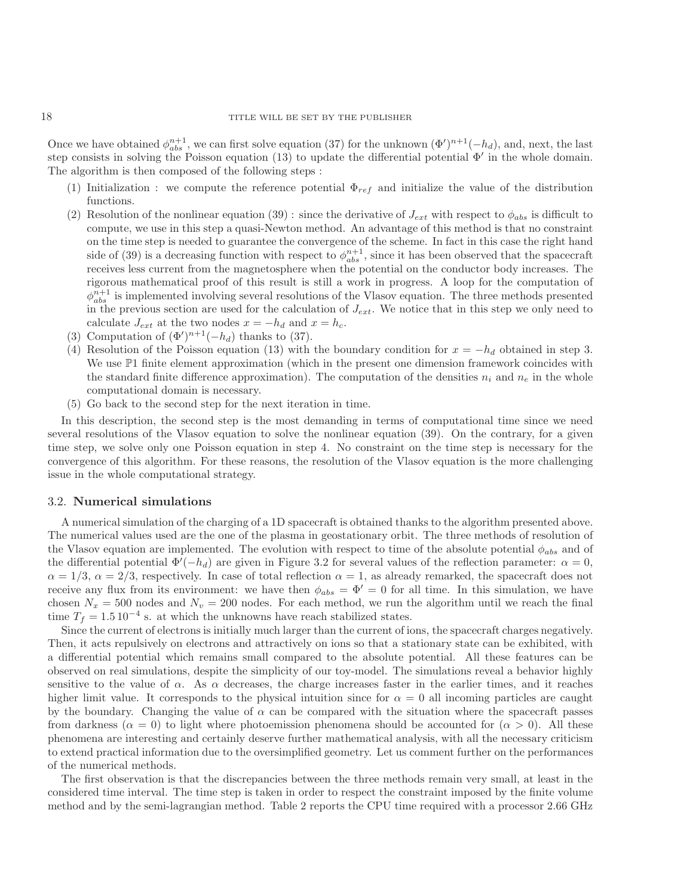Once we have obtained  $\phi_{abs}^{n+1}$ , we can first solve equation (37) for the unknown  $(\Phi')^{n+1}(-h_d)$ , and, next, the last step consists in solving the Poisson equation (13) to update the differential potential  $\Phi'$  in the whole domain. The algorithm is then composed of the following steps :

- (1) Initialization : we compute the reference potential  $\Phi_{ref}$  and initialize the value of the distribution functions.
- (2) Resolution of the nonlinear equation (39) : since the derivative of  $J_{ext}$  with respect to  $\phi_{abs}$  is difficult to compute, we use in this step a quasi-Newton method. An advantage of this method is that no constraint on the time step is needed to guarantee the convergence of the scheme. In fact in this case the right hand side of (39) is a decreasing function with respect to  $\phi_{abs}^{n+1}$ , since it has been observed that the spacecraft receives less current from the magnetosphere when the potential on the conductor body increases. The rigorous mathematical proof of this result is still a work in progress. A loop for the computation of  $\phi_{abs}^{n+1}$  is implemented involving several resolutions of the Vlasov equation. The three methods presented in the previous section are used for the calculation of  $J_{ext}$ . We notice that in this step we only need to calculate  $J_{ext}$  at the two nodes  $x = -h_d$  and  $x = h_c$ .
- (3) Computation of  $(\Phi')^{n+1}(-h_d)$  thanks to (37).
- (4) Resolution of the Poisson equation (13) with the boundary condition for  $x = -h_d$  obtained in step 3. We use  $\mathbb{P}1$  finite element approximation (which in the present one dimension framework coincides with the standard finite difference approximation). The computation of the densities  $n_i$  and  $n_e$  in the whole computational domain is necessary.
- (5) Go back to the second step for the next iteration in time.

In this description, the second step is the most demanding in terms of computational time since we need several resolutions of the Vlasov equation to solve the nonlinear equation (39). On the contrary, for a given time step, we solve only one Poisson equation in step 4. No constraint on the time step is necessary for the convergence of this algorithm. For these reasons, the resolution of the Vlasov equation is the more challenging issue in the whole computational strategy.

#### 3.2. Numerical simulations

A numerical simulation of the charging of a 1D spacecraft is obtained thanks to the algorithm presented above. The numerical values used are the one of the plasma in geostationary orbit. The three methods of resolution of the Vlasov equation are implemented. The evolution with respect to time of the absolute potential  $\phi_{abs}$  and of the differential potential  $\Phi'(-h_d)$  are given in Figure 3.2 for several values of the reflection parameter:  $\alpha = 0$ ,  $\alpha = 1/3$ ,  $\alpha = 2/3$ , respectively. In case of total reflection  $\alpha = 1$ , as already remarked, the spacecraft does not receive any flux from its environment: we have then  $\phi_{abs} = \Phi' = 0$  for all time. In this simulation, we have chosen  $N_x = 500$  nodes and  $N_v = 200$  nodes. For each method, we run the algorithm until we reach the final time  $T_f = 1.5 \, 10^{-4}$  s. at which the unknowns have reach stabilized states.

Since the current of electrons is initially much larger than the current of ions, the spacecraft charges negatively. Then, it acts repulsively on electrons and attractively on ions so that a stationary state can be exhibited, with a differential potential which remains small compared to the absolute potential. All these features can be observed on real simulations, despite the simplicity of our toy-model. The simulations reveal a behavior highly sensitive to the value of  $\alpha$ . As  $\alpha$  decreases, the charge increases faster in the earlier times, and it reaches higher limit value. It corresponds to the physical intuition since for  $\alpha = 0$  all incoming particles are caught by the boundary. Changing the value of  $\alpha$  can be compared with the situation where the spacecraft passes from darkness ( $\alpha = 0$ ) to light where photoemission phenomena should be accounted for ( $\alpha > 0$ ). All these phenomena are interesting and certainly deserve further mathematical analysis, with all the necessary criticism to extend practical information due to the oversimplified geometry. Let us comment further on the performances of the numerical methods.

The first observation is that the discrepancies between the three methods remain very small, at least in the considered time interval. The time step is taken in order to respect the constraint imposed by the finite volume method and by the semi-lagrangian method. Table 2 reports the CPU time required with a processor 2.66 GHz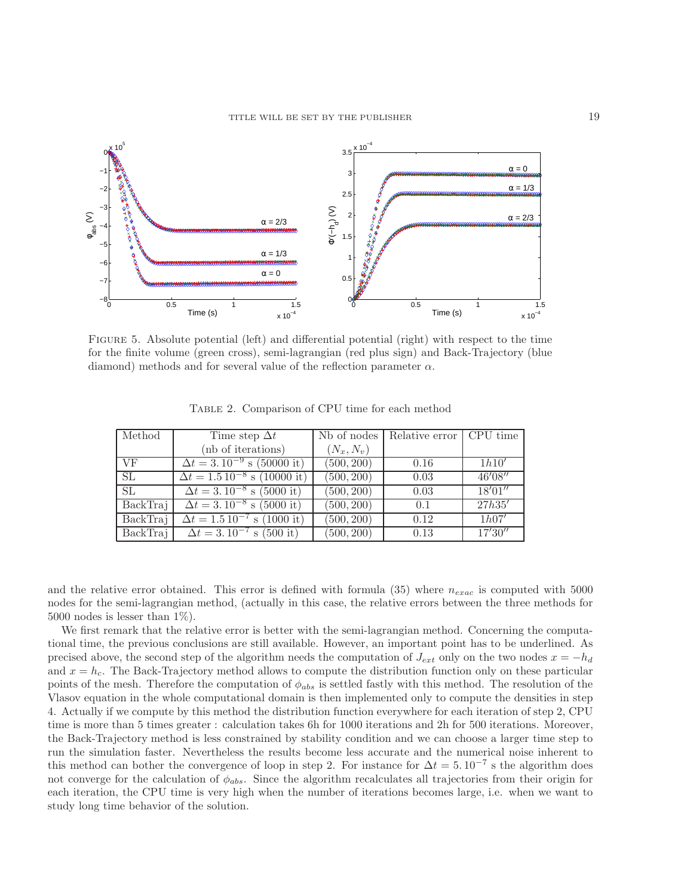

Figure 5. Absolute potential (left) and differential potential (right) with respect to the time for the finite volume (green cross), semi-lagrangian (red plus sign) and Back-Trajectory (blue diamond) methods and for several value of the reflection parameter  $\alpha$ .

| Method   | Time step $\Delta t$                     | N <sub>b</sub> of nodes | Relative error CPU time |         |
|----------|------------------------------------------|-------------------------|-------------------------|---------|
|          | (nb of iterations)                       | $(N_x, N_v)$            |                         |         |
| - VF     | $\Delta t = 3.10^{-9}$ s (50000 it)      | (500, 200)              | 0.16                    | 1h10'   |
| SL       | $\Delta t = 1.5 \, 10^{-8}$ s (10000 it) | (500, 200)              | 0.03                    | 46'08'' |
| SL       | $\Delta t = 3.10^{-8}$ s (5000 it)       | (500, 200)              | 0.03                    | 18'01'' |
| BackTraj | $\Delta t = 3.10^{-8}$ s (5000 it)       | (500, 200)              | 0.1                     | 27h35'  |
| BackTraj | $\Delta t = 1.5 \, 10^{-7}$ s (1000 it)  | (500, 200)              | 0.12                    | 1h07'   |
| BackTraj | $\Delta t = 3.10^{-7}$ s (500 it)        | (500, 200)              | 0.13                    | 17'30'' |

Table 2. Comparison of CPU time for each method

and the relative error obtained. This error is defined with formula (35) where  $n_{exac}$  is computed with 5000 nodes for the semi-lagrangian method, (actually in this case, the relative errors between the three methods for 5000 nodes is lesser than 1%).

We first remark that the relative error is better with the semi-lagrangian method. Concerning the computational time, the previous conclusions are still available. However, an important point has to be underlined. As precised above, the second step of the algorithm needs the computation of  $J_{ext}$  only on the two nodes  $x = -h_d$ and  $x = h_c$ . The Back-Trajectory method allows to compute the distribution function only on these particular points of the mesh. Therefore the computation of  $\phi_{abs}$  is settled fastly with this method. The resolution of the Vlasov equation in the whole computational domain is then implemented only to compute the densities in step 4. Actually if we compute by this method the distribution function everywhere for each iteration of step 2, CPU time is more than 5 times greater : calculation takes 6h for 1000 iterations and 2h for 500 iterations. Moreover, the Back-Trajectory method is less constrained by stability condition and we can choose a larger time step to run the simulation faster. Nevertheless the results become less accurate and the numerical noise inherent to this method can bother the convergence of loop in step 2. For instance for  $\Delta t = 5.10^{-7}$  s the algorithm does not converge for the calculation of  $\phi_{abs}$ . Since the algorithm recalculates all trajectories from their origin for each iteration, the CPU time is very high when the number of iterations becomes large, i.e. when we want to study long time behavior of the solution.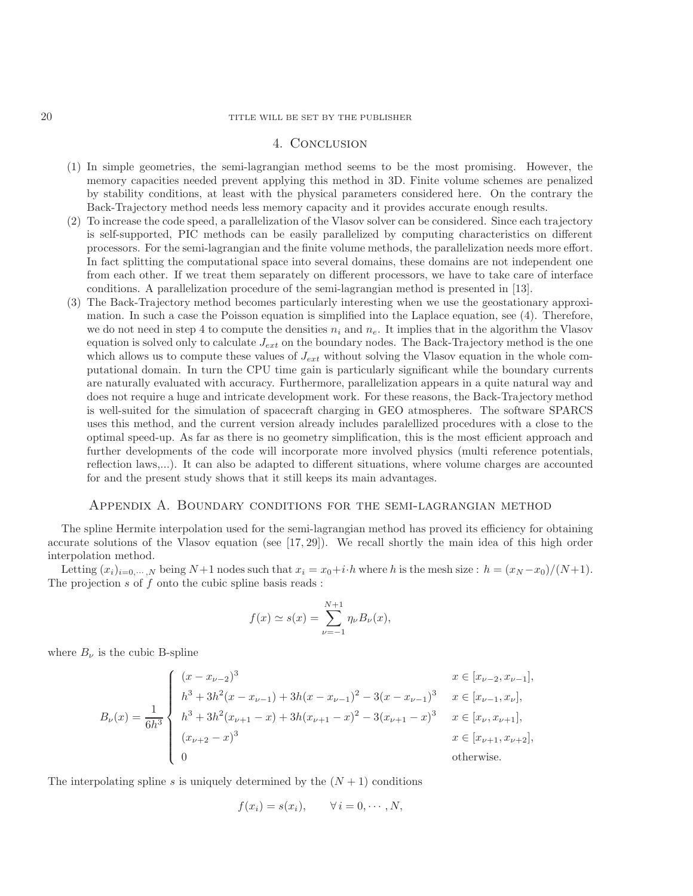#### 20 TITLE WILL BE SET BY THE PUBLISHER

### 4. Conclusion

- (1) In simple geometries, the semi-lagrangian method seems to be the most promising. However, the memory capacities needed prevent applying this method in 3D. Finite volume schemes are penalized by stability conditions, at least with the physical parameters considered here. On the contrary the Back-Trajectory method needs less memory capacity and it provides accurate enough results.
- (2) To increase the code speed, a parallelization of the Vlasov solver can be considered. Since each trajectory is self-supported, PIC methods can be easily parallelized by computing characteristics on different processors. For the semi-lagrangian and the finite volume methods, the parallelization needs more effort. In fact splitting the computational space into several domains, these domains are not independent one from each other. If we treat them separately on different processors, we have to take care of interface conditions. A parallelization procedure of the semi-lagrangian method is presented in [13].
- (3) The Back-Trajectory method becomes particularly interesting when we use the geostationary approximation. In such a case the Poisson equation is simplified into the Laplace equation, see (4). Therefore, we do not need in step 4 to compute the densities  $n_i$  and  $n_e$ . It implies that in the algorithm the Vlasov equation is solved only to calculate  $J_{ext}$  on the boundary nodes. The Back-Trajectory method is the one which allows us to compute these values of  $J_{ext}$  without solving the Vlasov equation in the whole computational domain. In turn the CPU time gain is particularly significant while the boundary currents are naturally evaluated with accuracy. Furthermore, parallelization appears in a quite natural way and does not require a huge and intricate development work. For these reasons, the Back-Trajectory method is well-suited for the simulation of spacecraft charging in GEO atmospheres. The software SPARCS uses this method, and the current version already includes paralellized procedures with a close to the optimal speed-up. As far as there is no geometry simplification, this is the most efficient approach and further developments of the code will incorporate more involved physics (multi reference potentials, reflection laws,...). It can also be adapted to different situations, where volume charges are accounted for and the present study shows that it still keeps its main advantages.

# Appendix A. Boundary conditions for the semi-lagrangian method

The spline Hermite interpolation used for the semi-lagrangian method has proved its efficiency for obtaining accurate solutions of the Vlasov equation (see [17, 29]). We recall shortly the main idea of this high order interpolation method.

Letting  $(x_i)_{i=0,\dots,N}$  being  $N+1$  nodes such that  $x_i = x_0+i\cdot h$  where h is the mesh size :  $h = (x_N-x_0)/(N+1)$ . The projection  $s$  of  $f$  onto the cubic spline basis reads :

$$
f(x) \simeq s(x) = \sum_{\nu=-1}^{N+1} \eta_{\nu} B_{\nu}(x),
$$

where  $B_{\nu}$  is the cubic B-spline

$$
B_{\nu}(x) = \frac{1}{6h^3} \begin{cases} (x - x_{\nu-2})^3 & x \in [x_{\nu-2}, x_{\nu-1}],\\ h^3 + 3h^2(x - x_{\nu-1}) + 3h(x - x_{\nu-1})^2 - 3(x - x_{\nu-1})^3 & x \in [x_{\nu-1}, x_{\nu}],\\ h^3 + 3h^2(x_{\nu+1} - x) + 3h(x_{\nu+1} - x)^2 - 3(x_{\nu+1} - x)^3 & x \in [x_{\nu}, x_{\nu+1}],\\ (x_{\nu+2} - x)^3 & x \in [x_{\nu+1}, x_{\nu+2}],\\ 0 & \text{otherwise.} \end{cases}
$$

The interpolating spline s is uniquely determined by the  $(N + 1)$  conditions

$$
f(x_i) = s(x_i), \qquad \forall i = 0, \cdots, N,
$$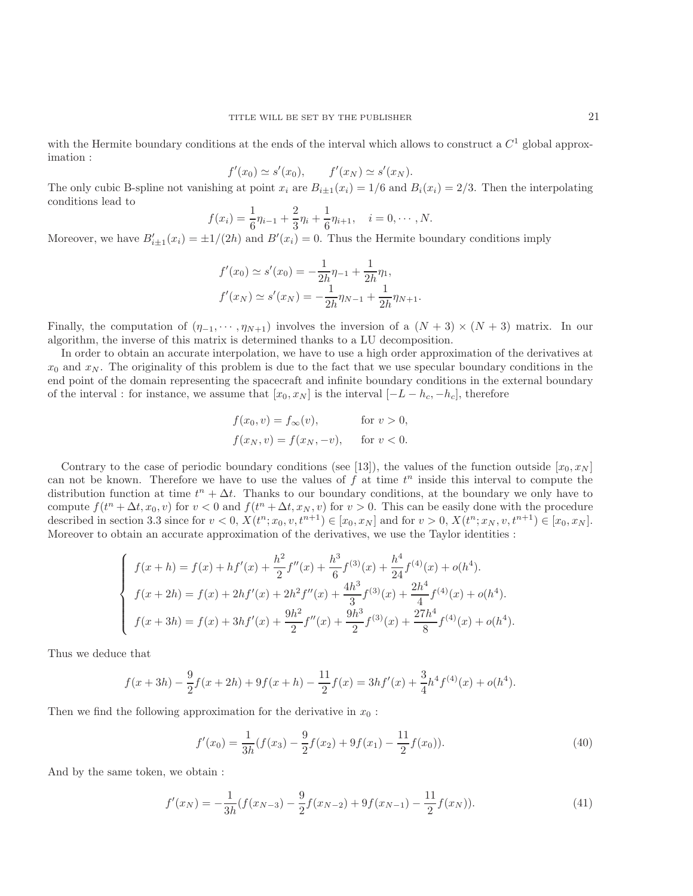with the Hermite boundary conditions at the ends of the interval which allows to construct a  $C<sup>1</sup>$  global approximation :

$$
f'(x_0) \simeq s'(x_0), \qquad f'(x_N) \simeq s'(x_N).
$$

The only cubic B-spline not vanishing at point  $x_i$  are  $B_{i\pm 1}(x_i) = 1/6$  and  $B_i(x_i) = 2/3$ . Then the interpolating conditions lead to

$$
f(x_i) = \frac{1}{6}\eta_{i-1} + \frac{2}{3}\eta_i + \frac{1}{6}\eta_{i+1}, \quad i = 0, \cdots, N.
$$

Moreover, we have  $B'_{i\pm 1}(x_i) = \pm 1/(2h)$  and  $B'(x_i) = 0$ . Thus the Hermite boundary conditions imply

$$
f'(x_0) \simeq s'(x_0) = -\frac{1}{2h}\eta_{-1} + \frac{1}{2h}\eta_1,
$$
  

$$
f'(x_N) \simeq s'(x_N) = -\frac{1}{2h}\eta_{N-1} + \frac{1}{2h}\eta_{N+1}.
$$

Finally, the computation of  $(\eta_{-1}, \dots, \eta_{N+1})$  involves the inversion of a  $(N+3) \times (N+3)$  matrix. In our algorithm, the inverse of this matrix is determined thanks to a LU decomposition.

In order to obtain an accurate interpolation, we have to use a high order approximation of the derivatives at  $x_0$  and  $x_N$ . The originality of this problem is due to the fact that we use specular boundary conditions in the end point of the domain representing the spacecraft and infinite boundary conditions in the external boundary of the interval : for instance, we assume that  $[x_0, x_N]$  is the interval  $[-L - h_c, -h_c]$ , therefore

$$
f(x_0, v) = f_{\infty}(v), \quad \text{for } v > 0,
$$
  

$$
f(x_N, v) = f(x_N, -v), \quad \text{for } v < 0.
$$

Contrary to the case of periodic boundary conditions (see [13]), the values of the function outside  $[x_0, x_N]$ can not be known. Therefore we have to use the values of  $f$  at time  $t^n$  inside this interval to compute the distribution function at time  $t^n + \Delta t$ . Thanks to our boundary conditions, at the boundary we only have to compute  $f(t^n + \Delta t, x_0, v)$  for  $v < 0$  and  $f(t^n + \Delta t, x_N, v)$  for  $v > 0$ . This can be easily done with the procedure described in section 3.3 since for  $v < 0$ ,  $X(t^n; x_0, v, t^{n+1}) \in [x_0, x_N]$  and for  $v > 0$ ,  $X(t^n; x_N, v, t^{n+1}) \in [x_0, x_N]$ . Moreover to obtain an accurate approximation of the derivatives, we use the Taylor identities :

$$
\begin{cases}\nf(x+h) = f(x) + hf'(x) + \frac{h^2}{2}f''(x) + \frac{h^3}{6}f^{(3)}(x) + \frac{h^4}{24}f^{(4)}(x) + o(h^4). \\
f(x+2h) = f(x) + 2hf'(x) + 2h^2f''(x) + \frac{4h^3}{3}f^{(3)}(x) + \frac{2h^4}{4}f^{(4)}(x) + o(h^4). \\
f(x+3h) = f(x) + 3hf'(x) + \frac{9h^2}{2}f''(x) + \frac{9h^3}{2}f^{(3)}(x) + \frac{27h^4}{8}f^{(4)}(x) + o(h^4).\n\end{cases}
$$

Thus we deduce that

$$
f(x+3h) - \frac{9}{2}f(x+2h) + 9f(x+h) - \frac{11}{2}f(x) = 3hf'(x) + \frac{3}{4}h^4f^{(4)}(x) + o(h^4).
$$

Then we find the following approximation for the derivative in  $x_0$ :

$$
f'(x_0) = \frac{1}{3h}(f(x_3) - \frac{9}{2}f(x_2) + 9f(x_1) - \frac{11}{2}f(x_0)).
$$
\n(40)

And by the same token, we obtain :

$$
f'(x_N) = -\frac{1}{3h}(f(x_{N-3}) - \frac{9}{2}f(x_{N-2}) + 9f(x_{N-1}) - \frac{11}{2}f(x_N)).
$$
\n(41)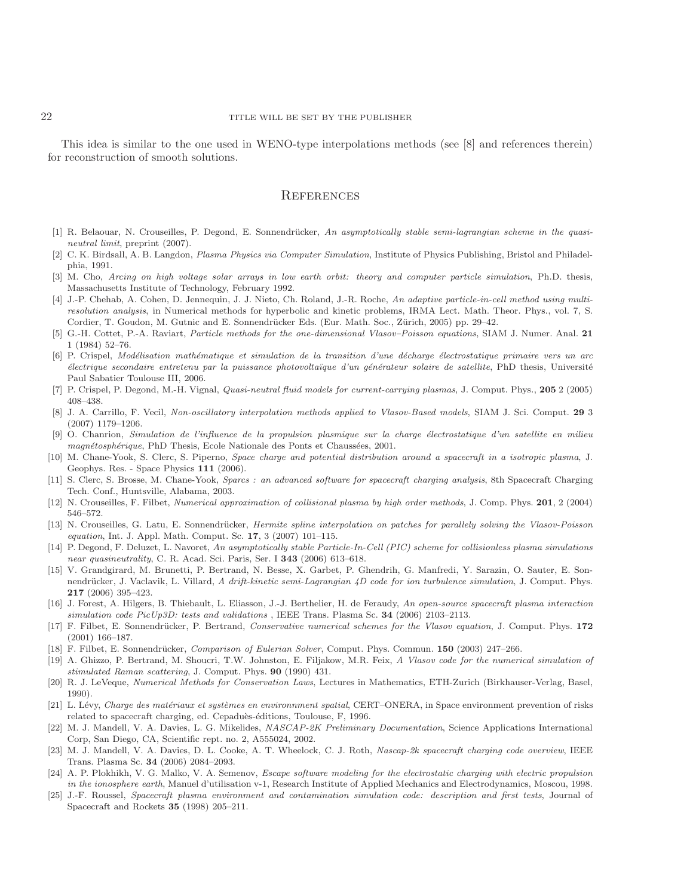#### 22 TITLE WILL BE SET BY THE PUBLISHER

This idea is similar to the one used in WENO-type interpolations methods (see [8] and references therein) for reconstruction of smooth solutions.

### **REFERENCES**

- [1] R. Belaouar, N. Crouseilles, P. Degond, E. Sonnendrücker, An asymptotically stable semi-lagrangian scheme in the quasineutral limit, preprint (2007).
- [2] C. K. Birdsall, A. B. Langdon, Plasma Physics via Computer Simulation, Institute of Physics Publishing, Bristol and Philadelphia, 1991.
- [3] M. Cho, Arcing on high voltage solar arrays in low earth orbit: theory and computer particle simulation, Ph.D. thesis, Massachusetts Institute of Technology, February 1992.
- [4] J.-P. Chehab, A. Cohen, D. Jennequin, J. J. Nieto, Ch. Roland, J.-R. Roche, An adaptive particle-in-cell method using multiresolution analysis, in Numerical methods for hyperbolic and kinetic problems, IRMA Lect. Math. Theor. Phys., vol. 7, S. Cordier, T. Goudon, M. Gutnic and E. Sonnendrücker Eds. (Eur. Math. Soc., Zürich, 2005) pp. 29-42.
- [5] G.-H. Cottet, P.-A. Raviart, Particle methods for the one-dimensional Vlasov–Poisson equations, SIAM J. Numer. Anal. 21 1 (1984) 52–76.
- [6] P. Crispel, Modélisation mathématique et simulation de la transition d'une décharge électrostatique primaire vers un arc électrique secondaire entretenu par la puissance photovoltaïque d'un générateur solaire de satellite, PhD thesis, Université Paul Sabatier Toulouse III, 2006.
- [7] P. Crispel, P. Degond, M.-H. Vignal, Quasi-neutral fluid models for current-carrying plasmas, J. Comput. Phys., 205 2 (2005) 408–438.
- [8] J. A. Carrillo, F. Vecil, Non-oscillatory interpolation methods applied to Vlasov-Based models, SIAM J. Sci. Comput. 29 3 (2007) 1179–1206.
- [9] O. Chanrion, Simulation de l'influence de la propulsion plasmique sur la charge ´electrostatique d'un satellite en milieu magnétosphérique, PhD Thesis, Ecole Nationale des Ponts et Chaussées, 2001.
- [10] M. Chane-Yook, S. Clerc, S. Piperno, Space charge and potential distribution around a spacecraft in a isotropic plasma, J. Geophys. Res. - Space Physics 111 (2006).
- [11] S. Clerc, S. Brosse, M. Chane-Yook, Sparcs : an advanced software for spacecraft charging analysis, 8th Spacecraft Charging Tech. Conf., Huntsville, Alabama, 2003.
- [12] N. Crouseilles, F. Filbet, Numerical approximation of collisional plasma by high order methods, J. Comp. Phys. 201, 2 (2004) 546–572.
- [13] N. Crouseilles, G. Latu, E. Sonnendrücker, *Hermite spline interpolation on patches for parallely solving the Vlasov-Poisson* equation, Int. J. Appl. Math. Comput. Sc. 17, 3 (2007) 101–115.
- [14] P. Degond, F. Deluzet, L. Navoret, An asymptotically stable Particle-In-Cell (PIC) scheme for collisionless plasma simulations near quasineutrality, C. R. Acad. Sci. Paris, Ser. I 343 (2006) 613–618.
- [15] V. Grandgirard, M. Brunetti, P. Bertrand, N. Besse, X. Garbet, P. Ghendrih, G. Manfredi, Y. Sarazin, O. Sauter, E. Sonnendrücker, J. Vaclavik, L. Villard, A drift-kinetic semi-Lagrangian 4D code for ion turbulence simulation, J. Comput. Phys. 217 (2006) 395–423.
- [16] J. Forest, A. Hilgers, B. Thiebault, L. Eliasson, J.-J. Berthelier, H. de Feraudy, An open-source spacecraft plasma interaction simulation code PicUp3D: tests and validations, IEEE Trans. Plasma Sc. 34 (2006) 2103-2113.
- [17] F. Filbet, E. Sonnendrücker, P. Bertrand, Conservative numerical schemes for the Vlasov equation, J. Comput. Phys. 172 (2001) 166–187.
- [18] F. Filbet, E. Sonnendrücker, Comparison of Eulerian Solver, Comput. Phys. Commun. 150 (2003) 247–266.
- [19] A. Ghizzo, P. Bertrand, M. Shoucri, T.W. Johnston, E. Filjakow, M.R. Feix, A Vlasov code for the numerical simulation of stimulated Raman scattering, J. Comput. Phys. 90 (1990) 431.
- [20] R. J. LeVeque, Numerical Methods for Conservation Laws, Lectures in Mathematics, ETH-Zurich (Birkhauser-Verlag, Basel, 1990).
- [21] L. Lévy, Charge des matériaux et systèmes en environnment spatial, CERT–ONERA, in Space environment prevention of risks related to spacecraft charging, ed. Cepaduès-éditions, Toulouse, F, 1996.
- [22] M. J. Mandell, V. A. Davies, L. G. Mikelides, NASCAP-2K Preliminary Documentation, Science Applications International Corp, San Diego, CA, Scientific rept. no. 2, A555024, 2002.
- [23] M. J. Mandell, V. A. Davies, D. L. Cooke, A. T. Wheelock, C. J. Roth, Nascap-2k spacecraft charging code overview, IEEE Trans. Plasma Sc. 34 (2006) 2084–2093.
- [24] A. P. Plokhikh, V. G. Malko, V. A. Semenov, *Escape software modeling for the electrostatic charging with electric propulsion* in the ionosphere earth, Manuel d'utilisation v-1, Research Institute of Applied Mechanics and Electrodynamics, Moscou, 1998.
- [25] J.-F. Roussel, Spacecraft plasma environment and contamination simulation code: description and first tests, Journal of Spacecraft and Rockets 35 (1998) 205–211.